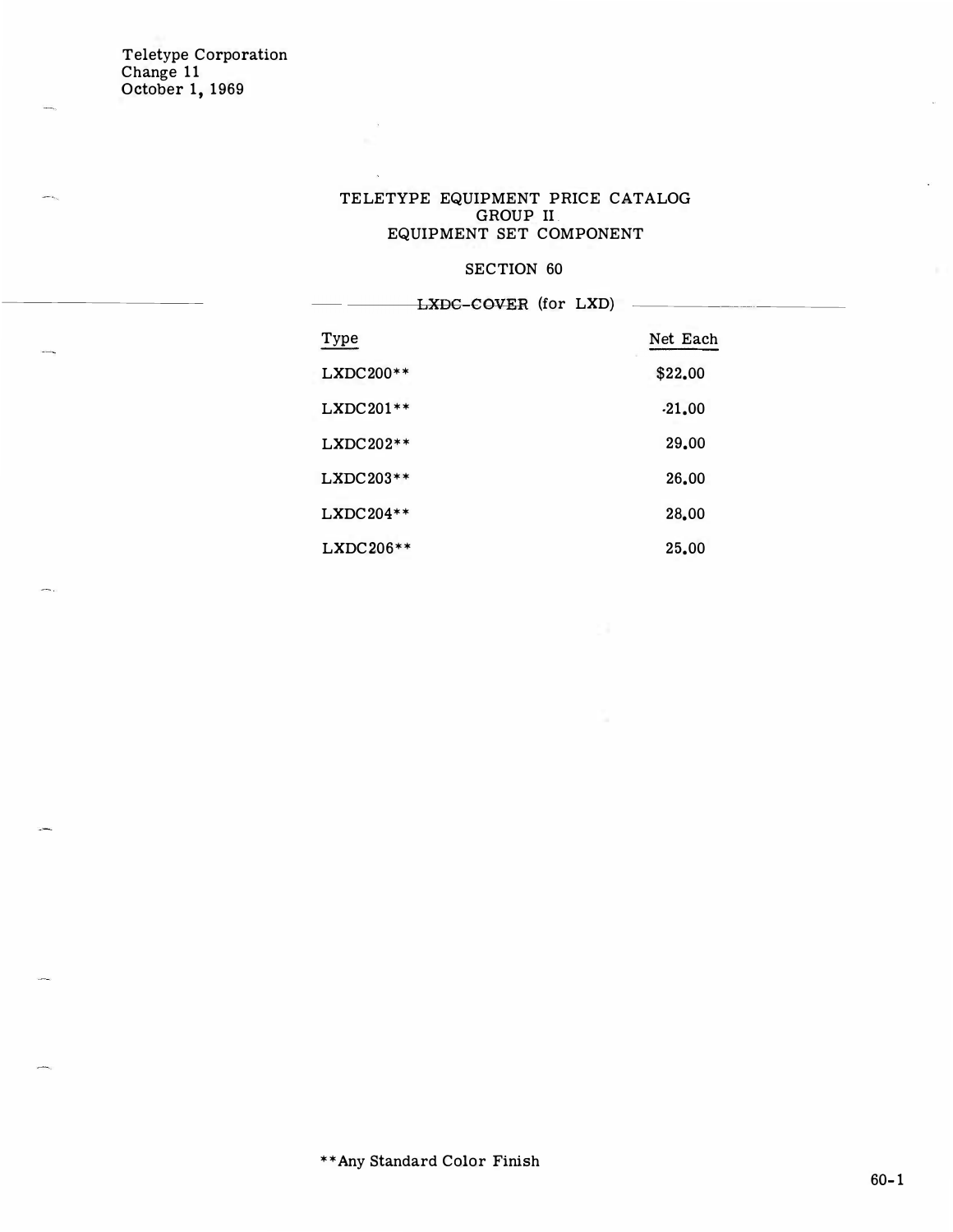#### TELETYPE EQUIPMENT PRICE CATALOG GROUP II. EQUIPMENT SET COMPONENT

### SECTION 60

LXDC-COVER (for LXD) Type Net Each LXDC200\*\* \$22.00  $LXDC201**$  .21.00 LXDC202\*\* 29.00 LXDC203\*\* 26.00 LXDC204\*\* 28.00 LXDC206\*\* 25.00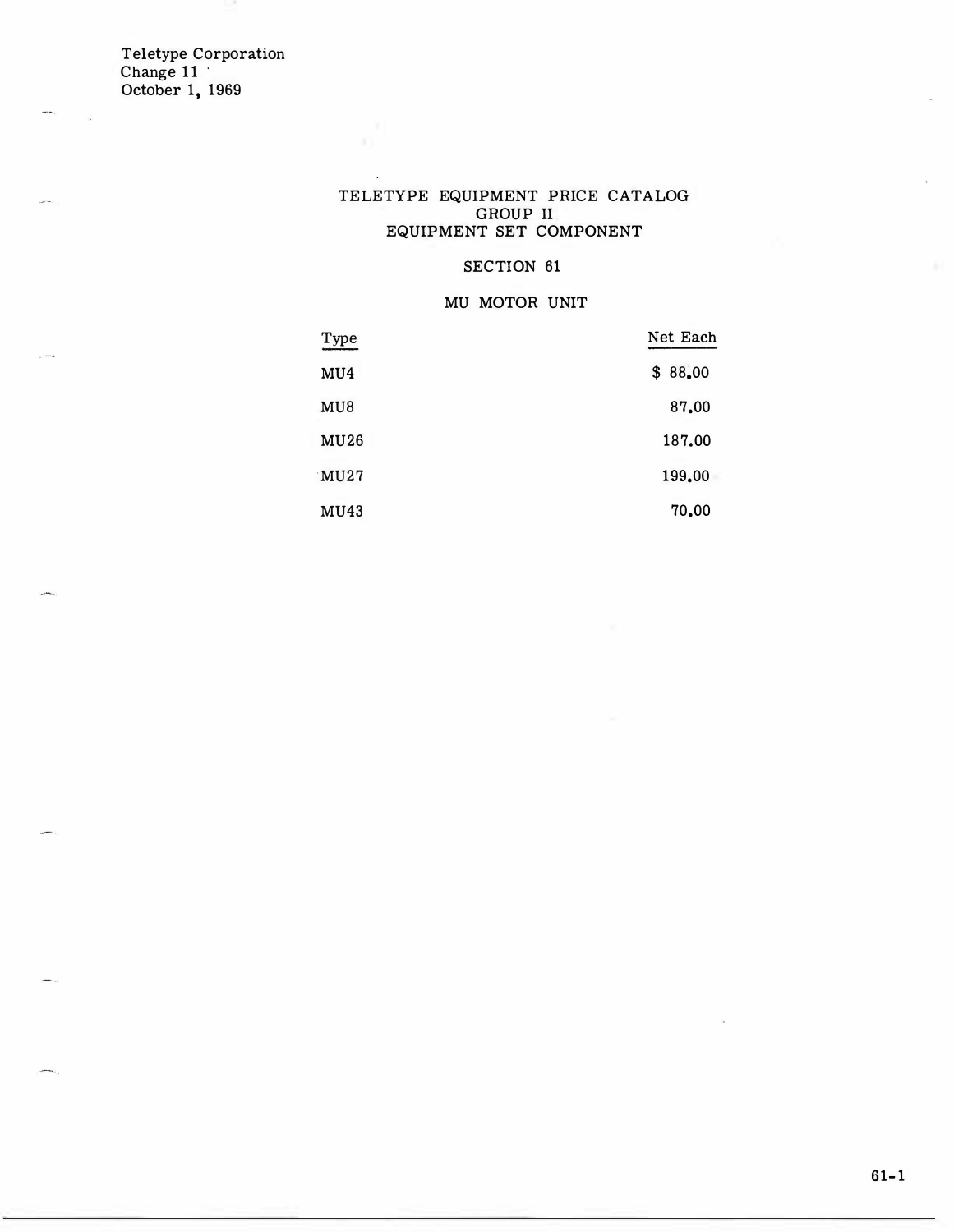#### TELETYPE EQUIPMENT PRICE CATALOG GROUP II EQUIPMENT SET COMPONENT

### SECTION 61

### MU MOTOR UNIT

| Type        | Net Each |
|-------------|----------|
| MU4         | \$88,00  |
| MU8         | 87.00    |
| <b>MU26</b> | 187.00   |
| MU27        | 199.00   |
| MU43        | 70.00    |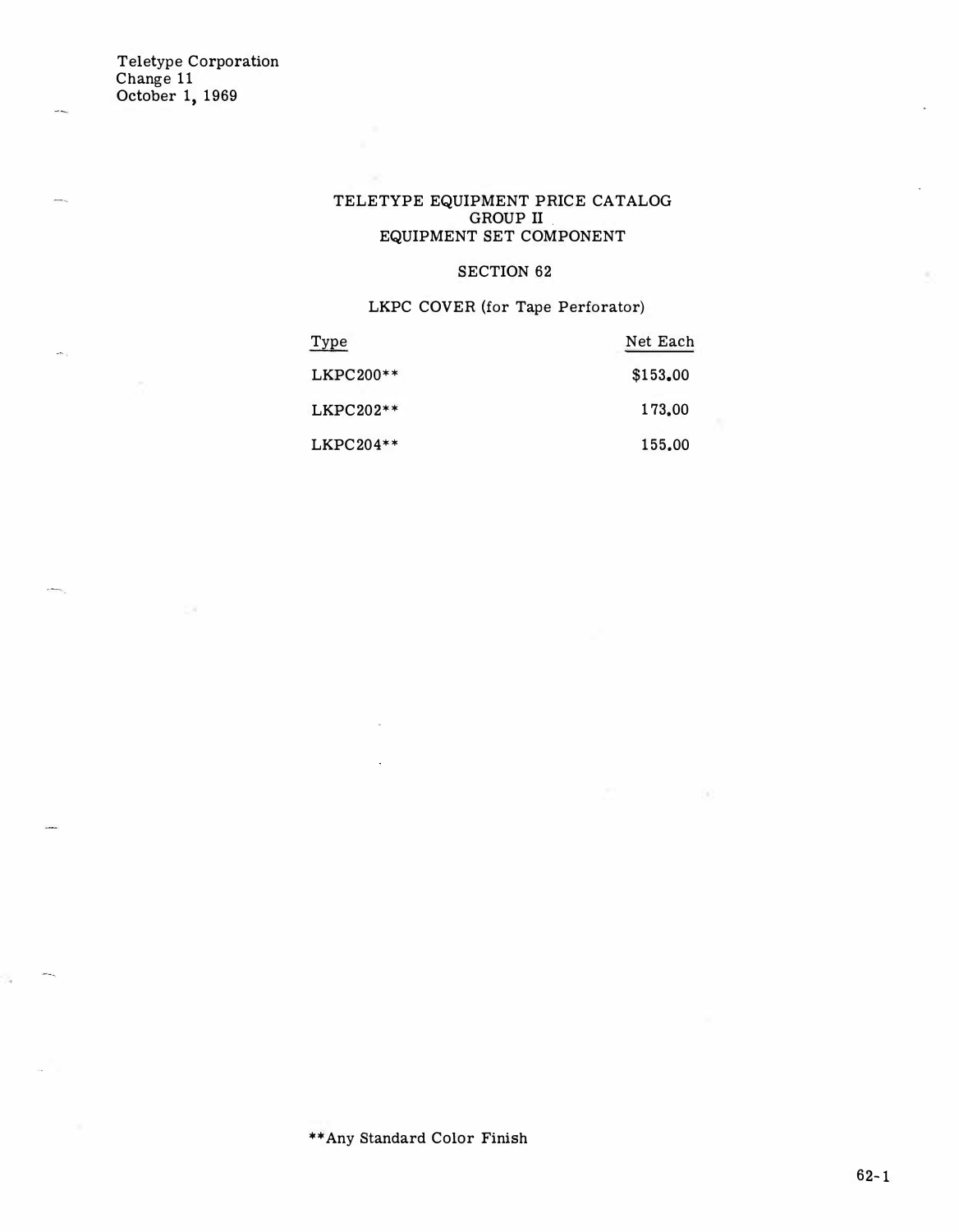### TELETYPE EQUIPMENT PRICE CATALOG GROUP II EQUIPMENT SET COMPONENT

### SECTION 62

LKPC COVER (for Tape Perforator)

| Type        | Net Each |
|-------------|----------|
| $LKPC200**$ | \$153.00 |
| $LKPC202**$ | 173,00   |
| $LKPC204**$ | 155.00   |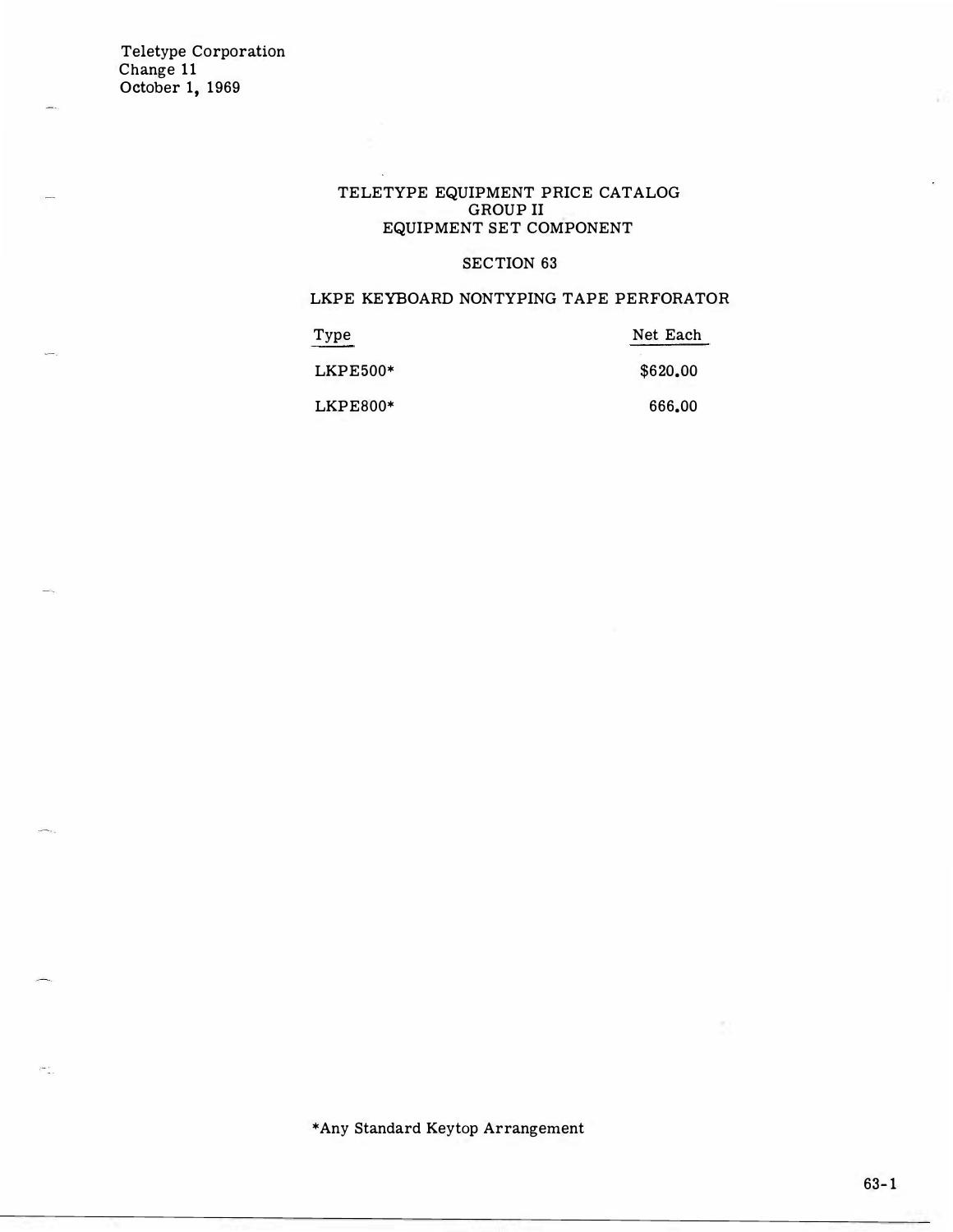- 1

### TELETYPE EQUIPMENT PRICE CATALOG GROUP II EQUIPMENT SET COMPONENT

### SECTION 63

### LKPE KEYBOARD NONTYPING TAPE PERFORATOR

| Type       | Net Each |
|------------|----------|
| $LKPE500*$ | \$620,00 |
| $LKPE800*$ | 666.00   |

\*Any Standard Keytop Arrangement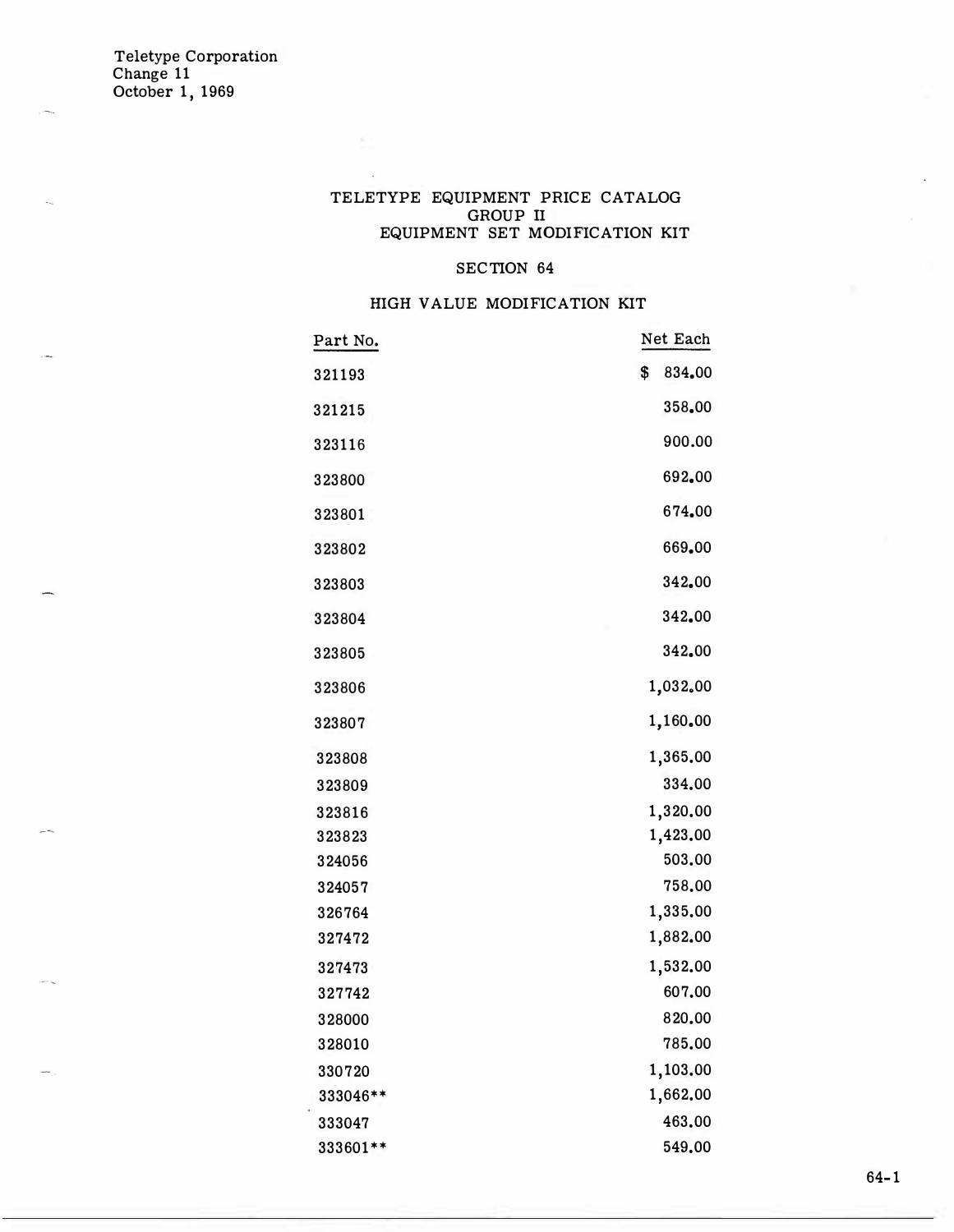### TELETYPE EQUIPMENT PRICE CATALOG GROUP II EQUIPMENT SET MODIFICATION KIT

### SECTION 64

### HIGH VALUE MODIFICATION KIT

| \$<br>834.00<br>321193<br>358.00<br>321215<br>900.00<br>323116<br>692.00<br>323800<br>674.00<br>323801<br>669.00<br>323802<br>342.00<br>323803<br>342.00<br>323804 |
|--------------------------------------------------------------------------------------------------------------------------------------------------------------------|
|                                                                                                                                                                    |
|                                                                                                                                                                    |
|                                                                                                                                                                    |
|                                                                                                                                                                    |
|                                                                                                                                                                    |
|                                                                                                                                                                    |
|                                                                                                                                                                    |
|                                                                                                                                                                    |
| 342.00<br>323805                                                                                                                                                   |
| 1,032.00<br>323806                                                                                                                                                 |
| 1,160.00<br>323807                                                                                                                                                 |
| 1,365.00<br>323808                                                                                                                                                 |
| 334.00<br>323809                                                                                                                                                   |
| 1,320.00<br>323816                                                                                                                                                 |
| 1,423.00<br>323823                                                                                                                                                 |
| 503.00<br>324056                                                                                                                                                   |
| 758.00<br>324057                                                                                                                                                   |
| 1,335.00<br>326764                                                                                                                                                 |
| 1,882.00<br>327472                                                                                                                                                 |
| 1,532.00<br>327473                                                                                                                                                 |
| 607.00<br>327742                                                                                                                                                   |
| 820.00<br>328000                                                                                                                                                   |
| 785.00<br>328010                                                                                                                                                   |
| 1,103.00<br>330720                                                                                                                                                 |
| 1,662.00<br>333046**                                                                                                                                               |
| 463.00<br>333047                                                                                                                                                   |
| 549.00<br>333601 **                                                                                                                                                |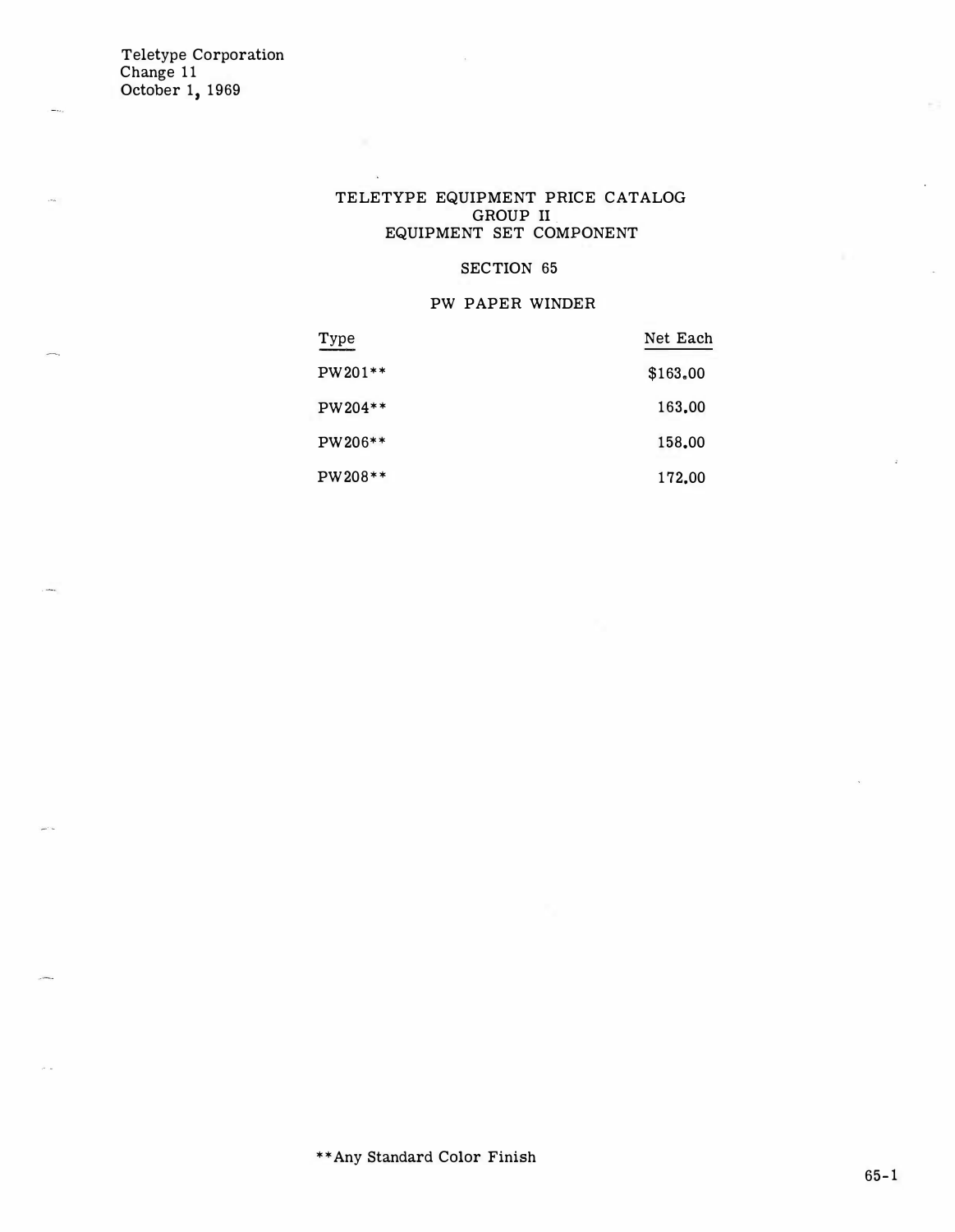#### TELETYPE EQUIPMENT PRICE CATALOG GROUP II. EQUIPMENT SET COMPONENT

### SECTION 65

### PW PAPER WINDER

| Type    | Net Each |
|---------|----------|
| PW201** | \$163.00 |
| PW204** | 163,00   |
| PW206** | 158,00   |
| PW208** | 172,00   |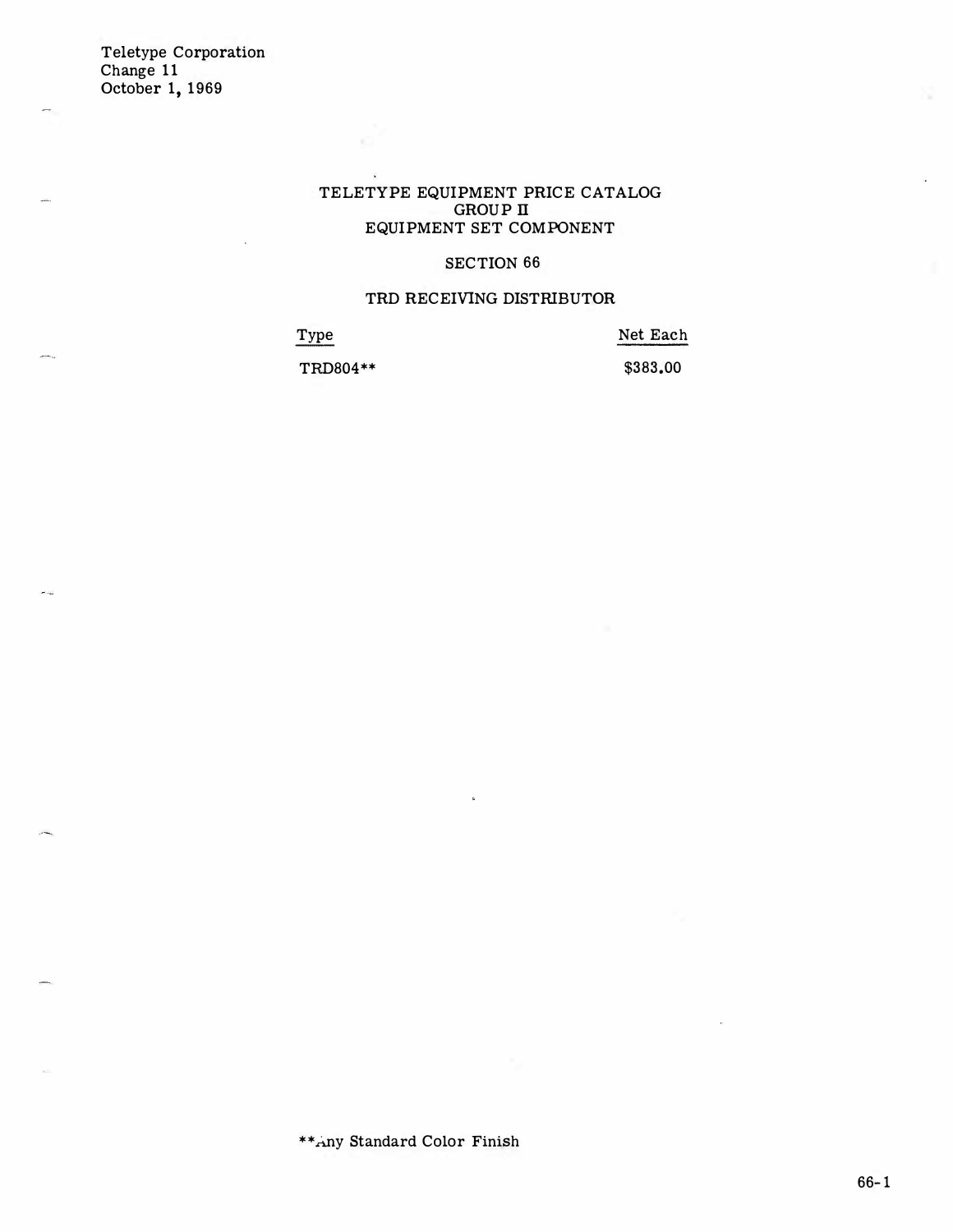ند م

### TELETYPE EQUIPMENT PRICE CATALOG GROUP II EQUIPMENT SET COMPONENT

#### SECTION 66

#### TRD RECEIVING DISTRIBUTOR

Type

Net Each

TRD804\*\*

 $\widetilde{\mathbf{K}}$ 

\$383.00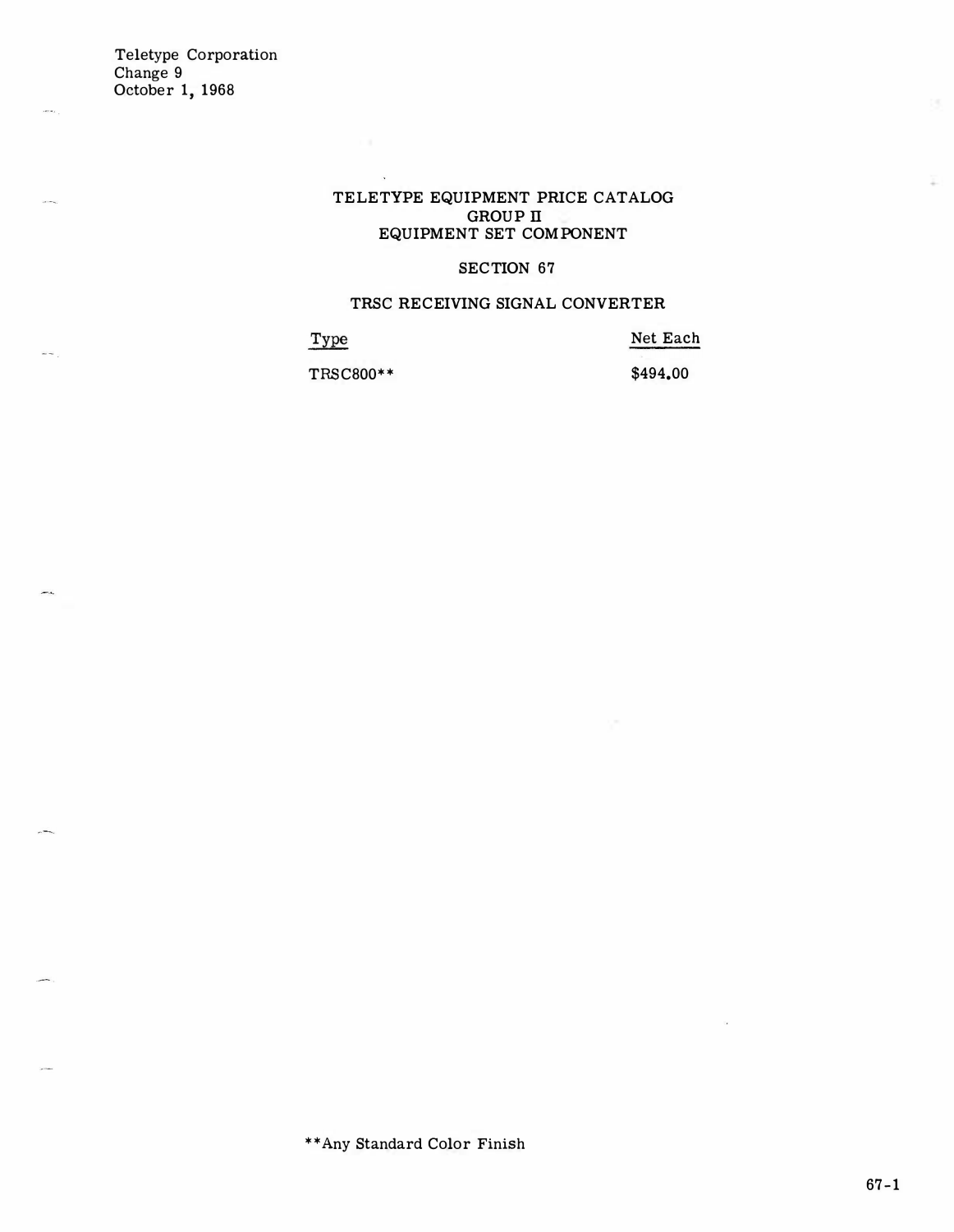$\frac{1}{2}$ 

 $\sim$   $\sim$ 

**...** 

### TELETYPE EQUIPMENT PRICE CATALOG GROUP II EQUIPMENT SET COMPONENT

### SECTION 67

### TRSC RECEIVING SIGNAL CONVERTER

Type

Net Each

TRSC800\*\* \$494.00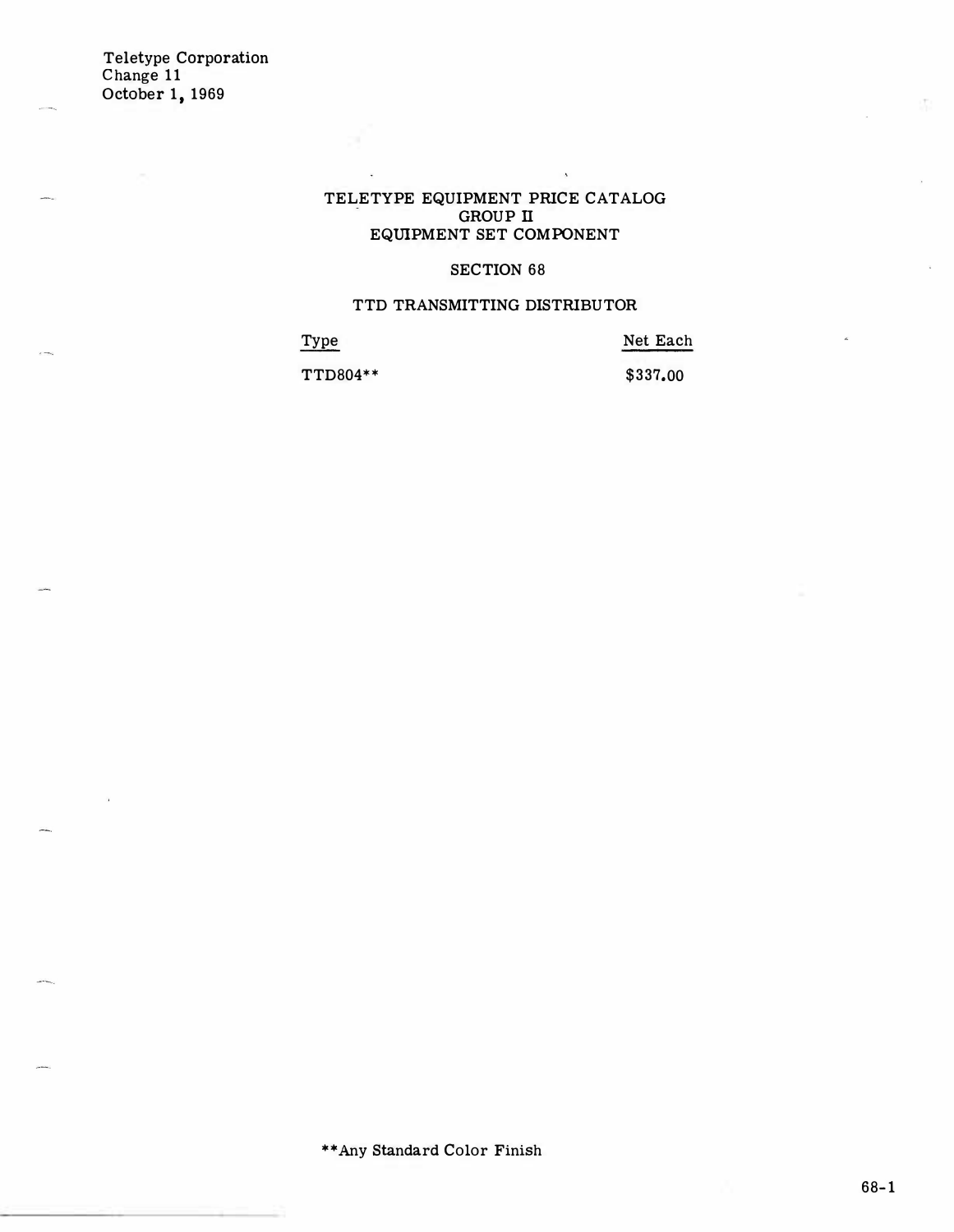#### TELETYPE EQUIPMENT PRICE CATALOG GROUP II EQUIPMENT SET COMPONENT

 $\bar{\Lambda}$ 

### SECTION 68

#### TTD TRANSMITTING DISTRlBUTOR

Type TTD804\*\* Net Each \$337.00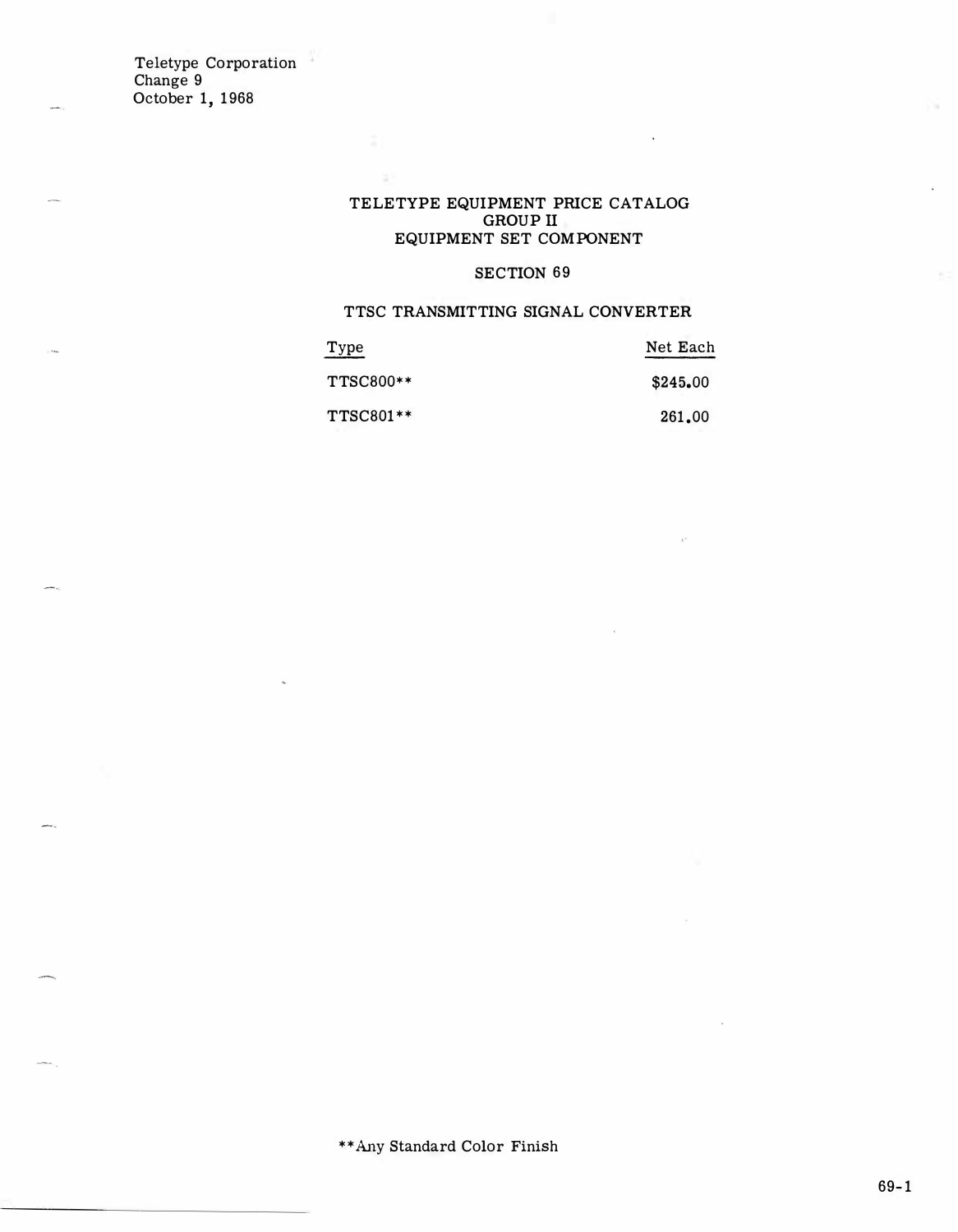#### TELETYPE EQUIPMENT PRICE CATALOG GROUP II EQUIPMENT SET COMPONENT

## SECTION 69

### TTSC TRANSMITTING SIGNAL CONVERTER

| Type             | Net Each |
|------------------|----------|
| <b>TTSC800**</b> | \$245.00 |
| <b>TTSC801**</b> | 261.00   |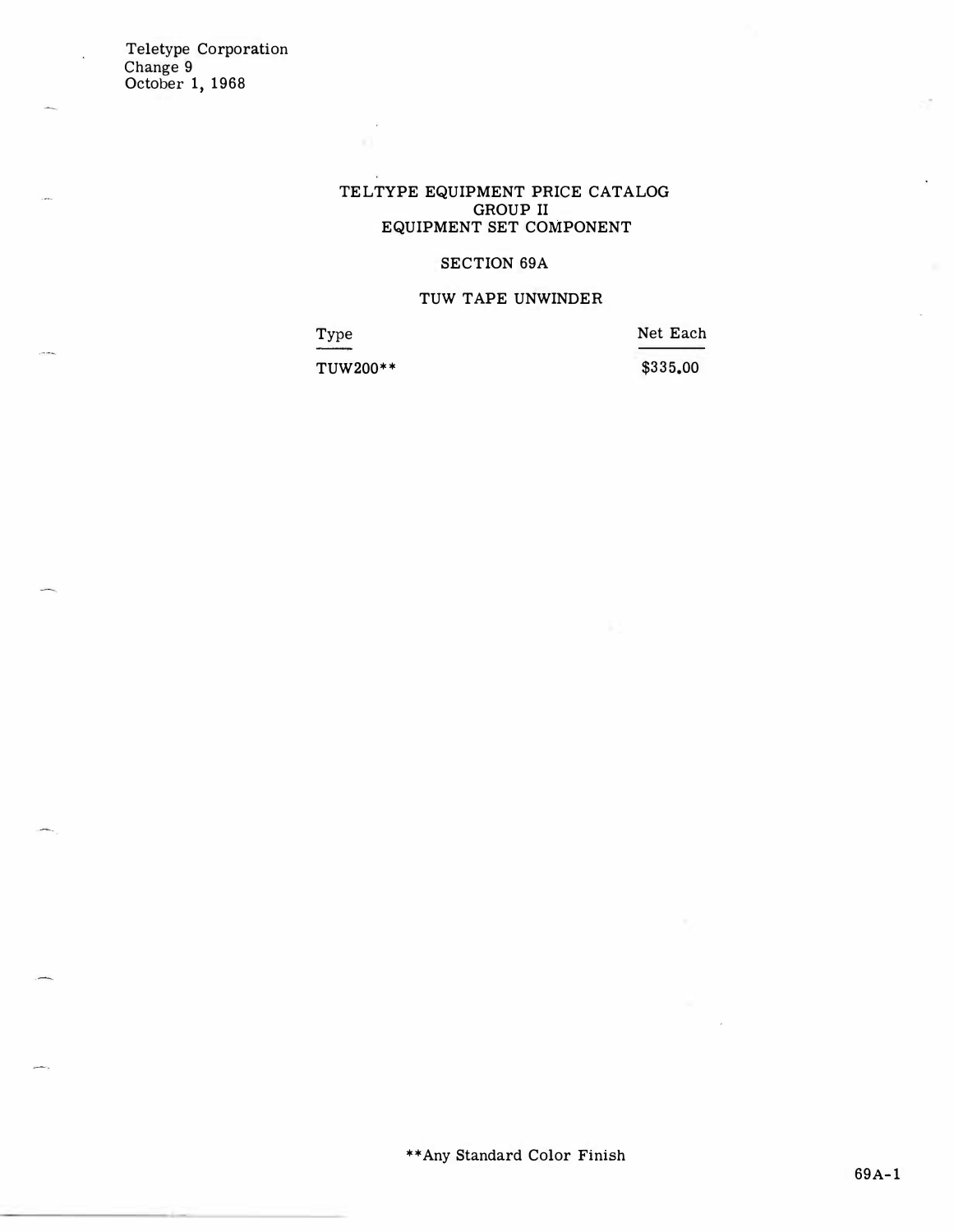### TELTYPE EQUIPMENT PRICE CATALOG GROUP II EQUIPMENT SET COMPONENT

### SECTION 69A

#### TUW TAPE UNWINDER

Type Net Each

TUW200\*\* \$335.00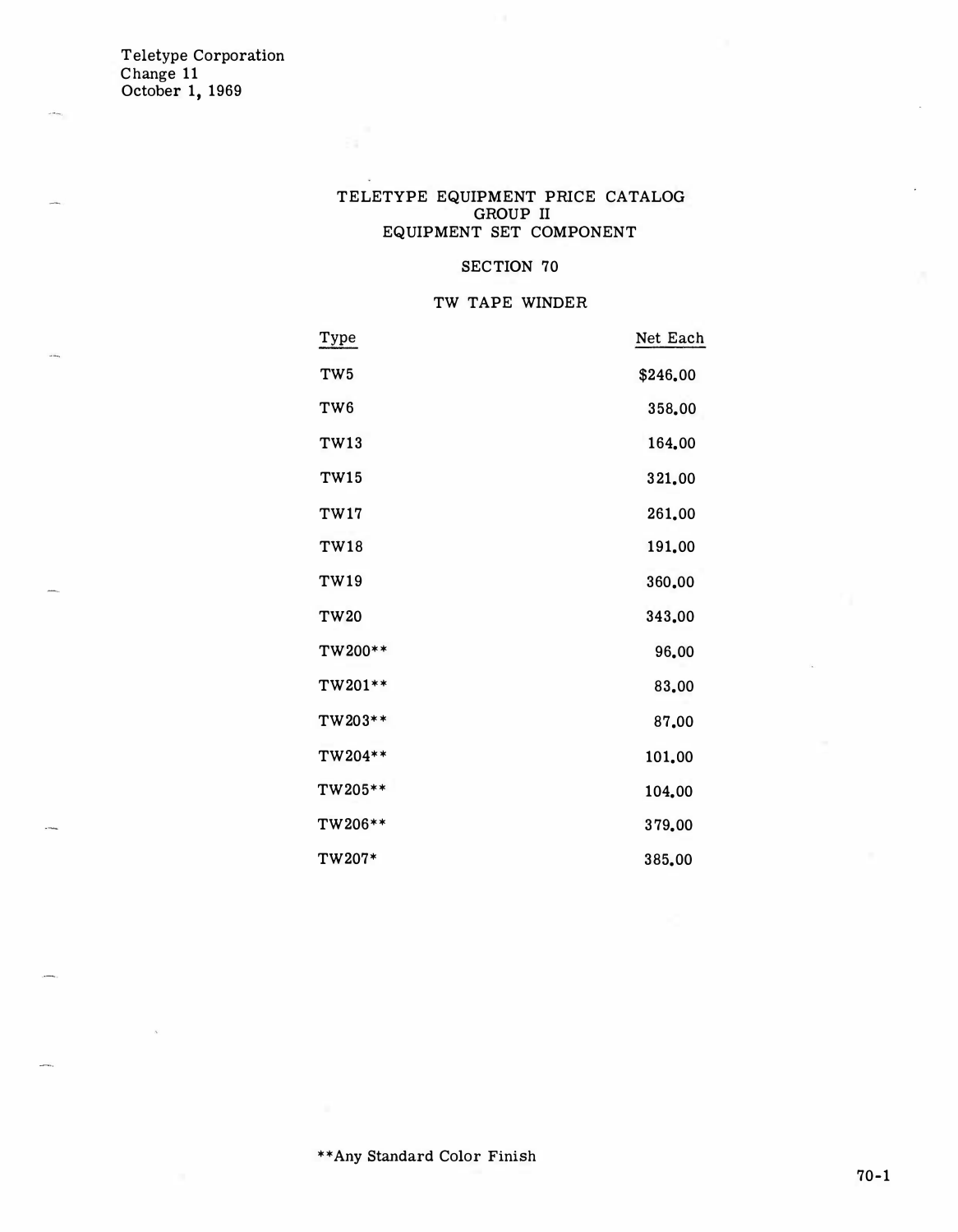### TELETYPE EQUIPMENT PRICE CATALOG GROUP II EQUIPMENT SET COMPONENT

### SECTION 70

### TW TAPE WINDER

| Type            | Net Each |
|-----------------|----------|
| TW <sub>5</sub> | \$246.00 |
| TW <sub>6</sub> | 358.00   |
| <b>TW13</b>     | 164.00   |
| <b>TW15</b>     | 321.00   |
| <b>TW17</b>     | 261.00   |
| <b>TW18</b>     | 191.00   |
| TW19            | 360.00   |
| <b>TW20</b>     | 343,00   |
| TW200**         | 96.00    |
| TW201**         | 83.00    |
| TW203**         | 87.00    |
| TW204**         | 101.00   |
| TW205**         | 104.00   |
| TW206**         | 379.00   |
| TW207*          | 385.00   |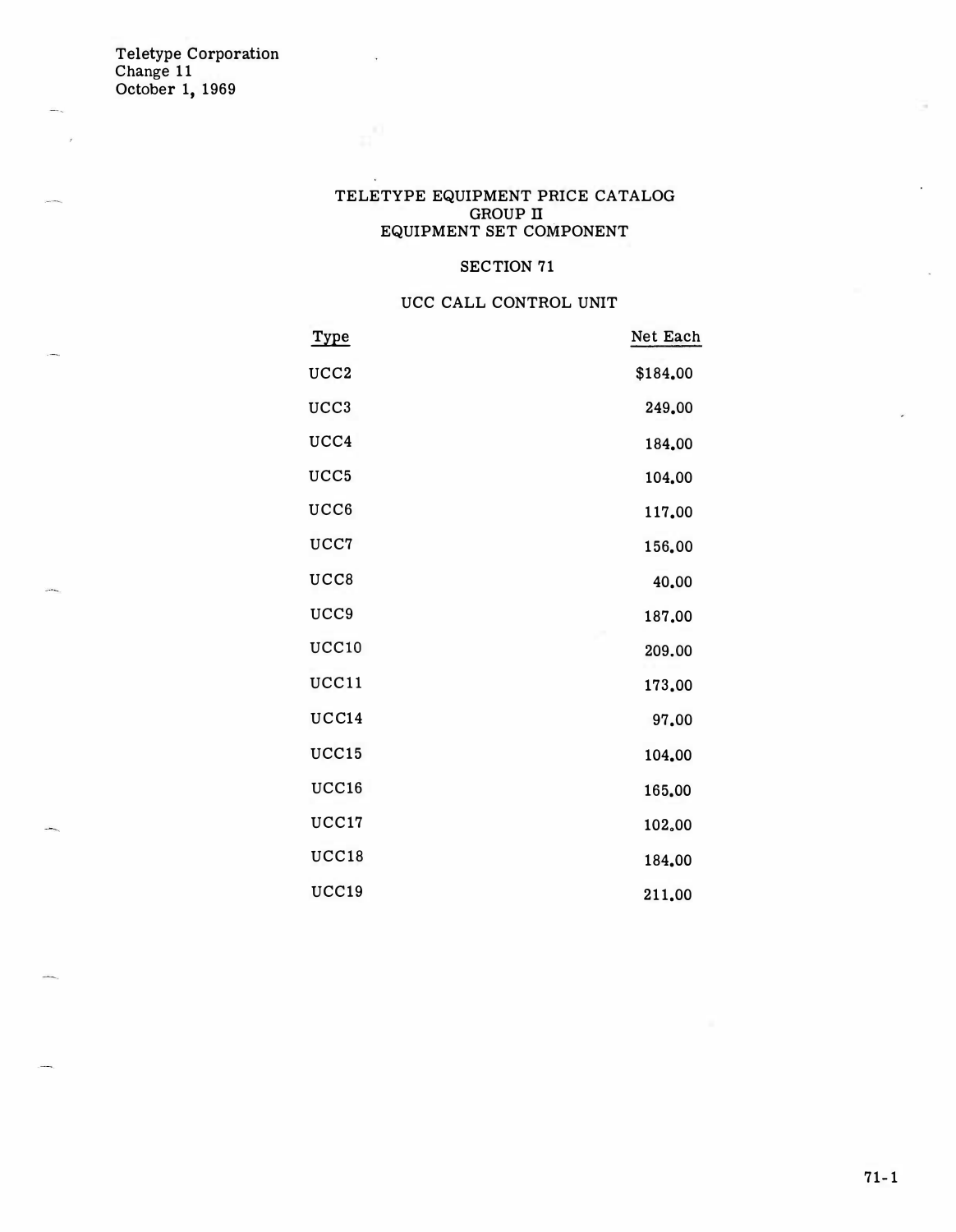### TELETYPE EQUIPMENT PRICE CATALOG GROUP IT EQUIPMENT SET COMPONENT

## SECTION 71

### UCC CALL CONTROL UNIT

| <u>Type</u>      | Net Each |
|------------------|----------|
| UCC <sub>2</sub> | \$184.00 |
| UCC <sub>3</sub> | 249.00   |
| UCC4             | 184.00   |
| UCC <sub>5</sub> | 104.00   |
| UCC <sub>6</sub> | 117.00   |
| UCC7             | 156.00   |
| UCC8             | 40.00    |
| UCC <sub>9</sub> | 187.00   |
| UCC10            | 209.00   |
| UCC11            | 173.00   |
| UCC14            | 97.00    |
| UCC15            | 104.00   |
| UCC16            | 165.00   |
| UCC17            | 102,00   |
| UCC18            | 184.00   |
| UCC19            | 211.00   |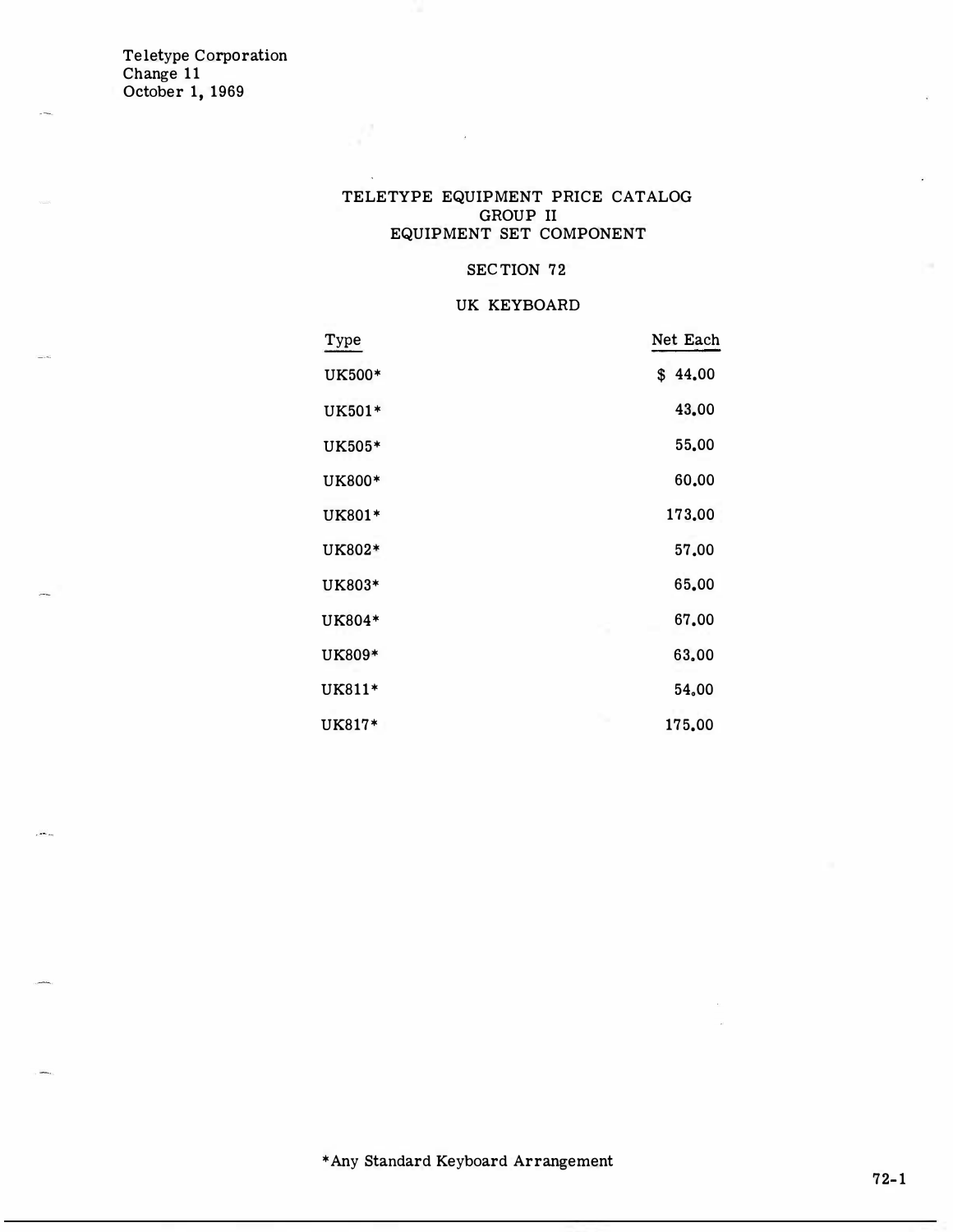$\overline{a}$ 

### TELETYPE EQUIPMENT PRICE CATALOG GROUP II EQUIPMENT SET COMPONENT

### SECTION 72

#### UK KEYBOARD

| Type   | Net Each |
|--------|----------|
| UK500* | \$44.00  |
| UK501* | 43.00    |
| UK505* | 55,00    |
| UK800* | 60.00    |
| UK801* | 173,00   |
| UK802* | 57,00    |
| UK803* | 65.00    |
| UK804* | 67.00    |
| UK809* | 63.00    |
| UK811* | 54,00    |
| UK817* | 175.00   |

\*Any Standard Keyboard Arrangement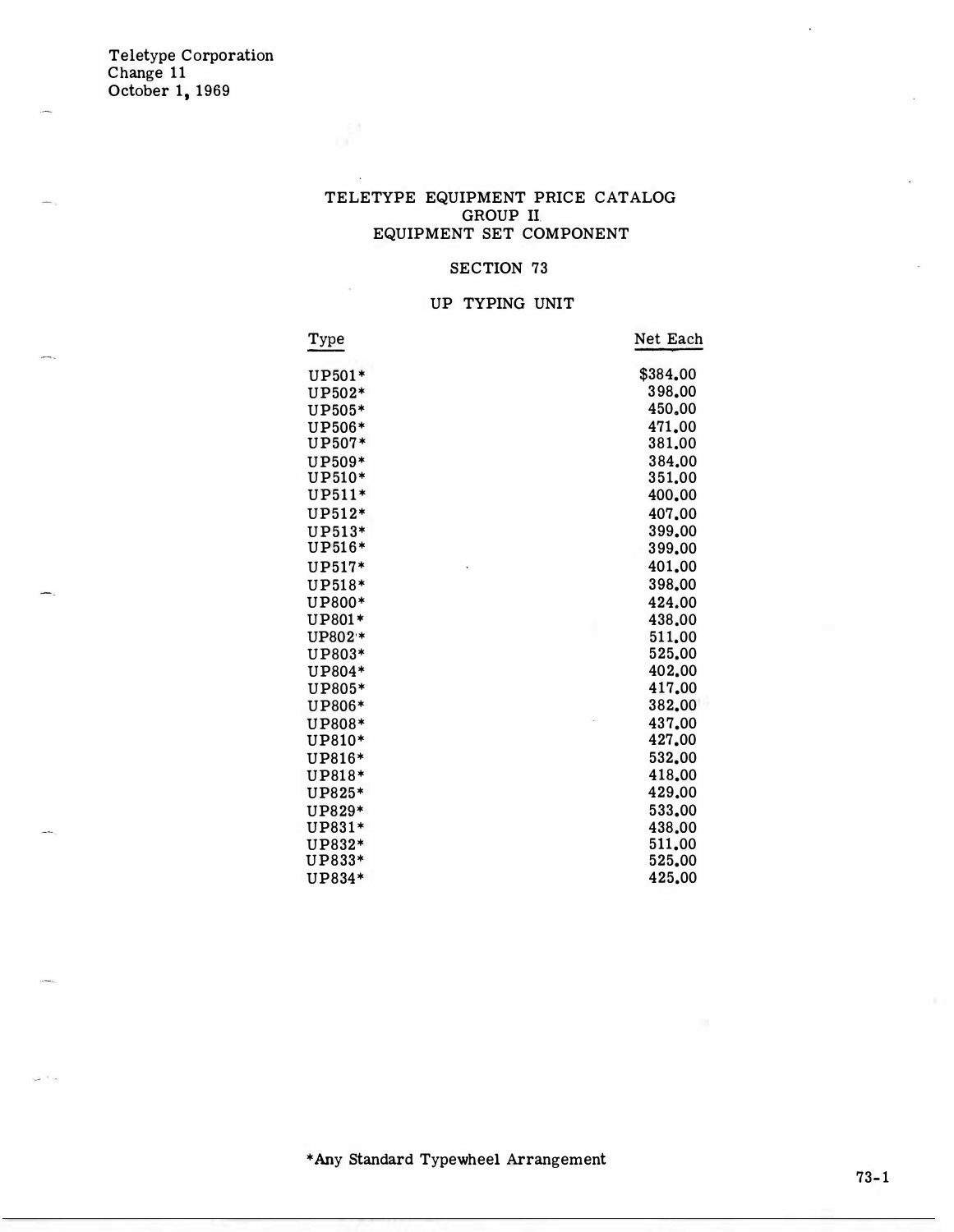### TELETYPE EQUIPMENT PRICE CATALOG GROUP Il EQUIPMENT SET COMPONENT

### SECTION 73

## UP TYPING UNIT

| Type     | Net Each |
|----------|----------|
| UP501*   | \$384.00 |
| UP502*   | 398,00   |
| UP505*   | 450.00   |
| UP506*   | 471.00   |
| UP507*   | 381.00   |
| UP509*   | 384.00   |
| UP510*   | 351,00   |
| UP511*   | 400.00   |
| $UP512*$ | 407.00   |
| UP513*   | 399.00   |
| UP516*   | 399.00   |
| UP517*   | 401.00   |
| UP518*   | 398.00   |
| UP800*   | 424.00   |
| UP801*   | 438.00   |
| UP802 *  | 511.00   |
| UP803*   | 525.00   |
| UP804*   | 402.00   |
| UP805*   | 417.00   |
| UP806*   | 382,00   |
| UP808*   | 437.00   |
| UP810*   | 427.00   |
| UP816*   | 532.00   |
| UP818*   | 418.00   |
| UP825*   | 429.00   |
| UP829*   | 533.00   |
| UP831*   | 438.00   |
| UP832*   | 511.00   |
| UP833*   | 525,00   |
| UP834*   | 425.00   |

\*Any Standard Typewheel Arrangement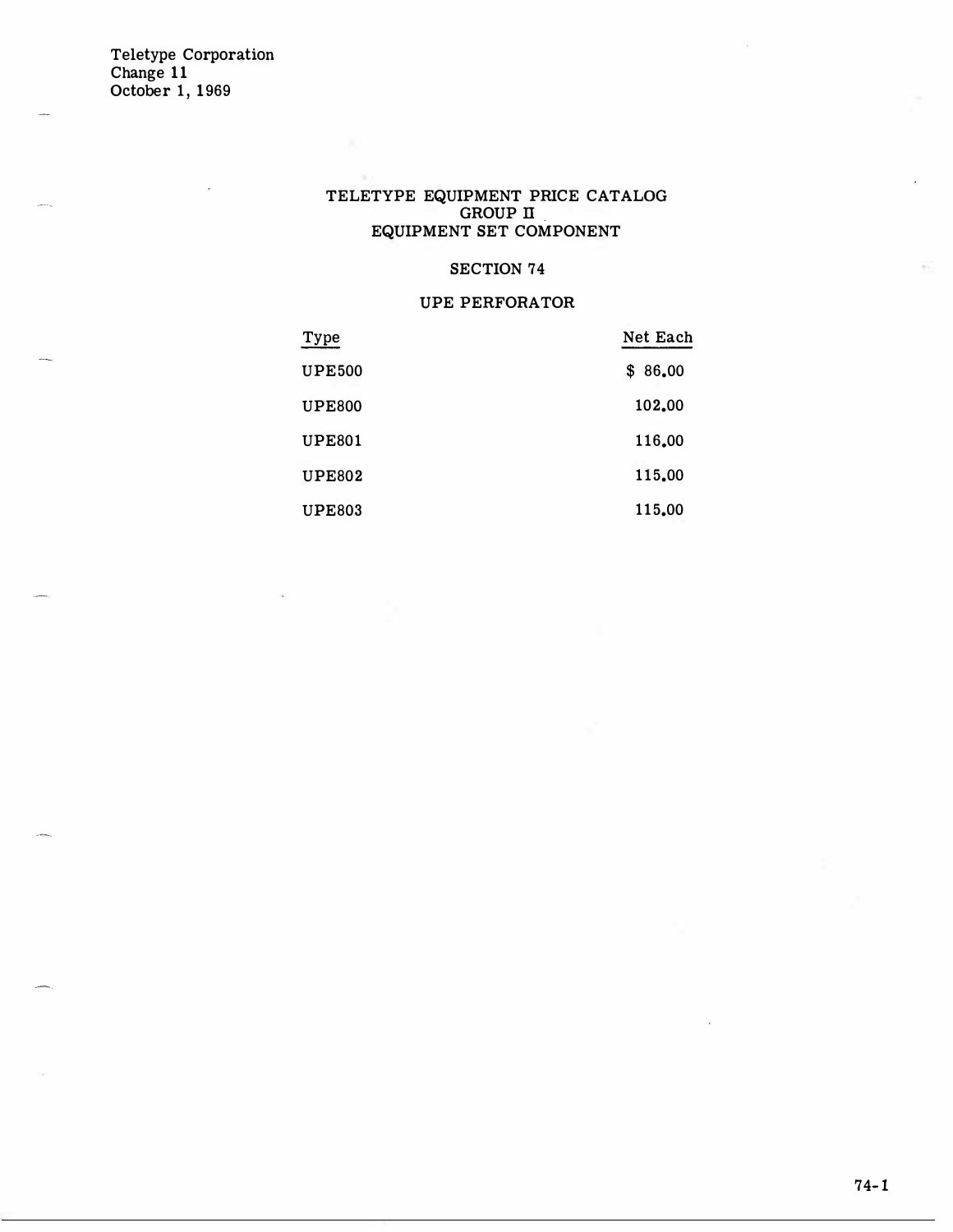#### TELETYPE EQUIPMENT PRICE CATALOG GROUP II EQUIPMENT SET COMPONENT

### SECTION 74

### UPE PERFORATOR

| Type          | Net Each    |
|---------------|-------------|
| <b>UPE500</b> | 86.00<br>\$ |
| <b>UPE800</b> | 102.00      |
| <b>UPE801</b> | 116.00      |
| <b>UPE802</b> | 115.00      |
| <b>UPE803</b> | 115,00      |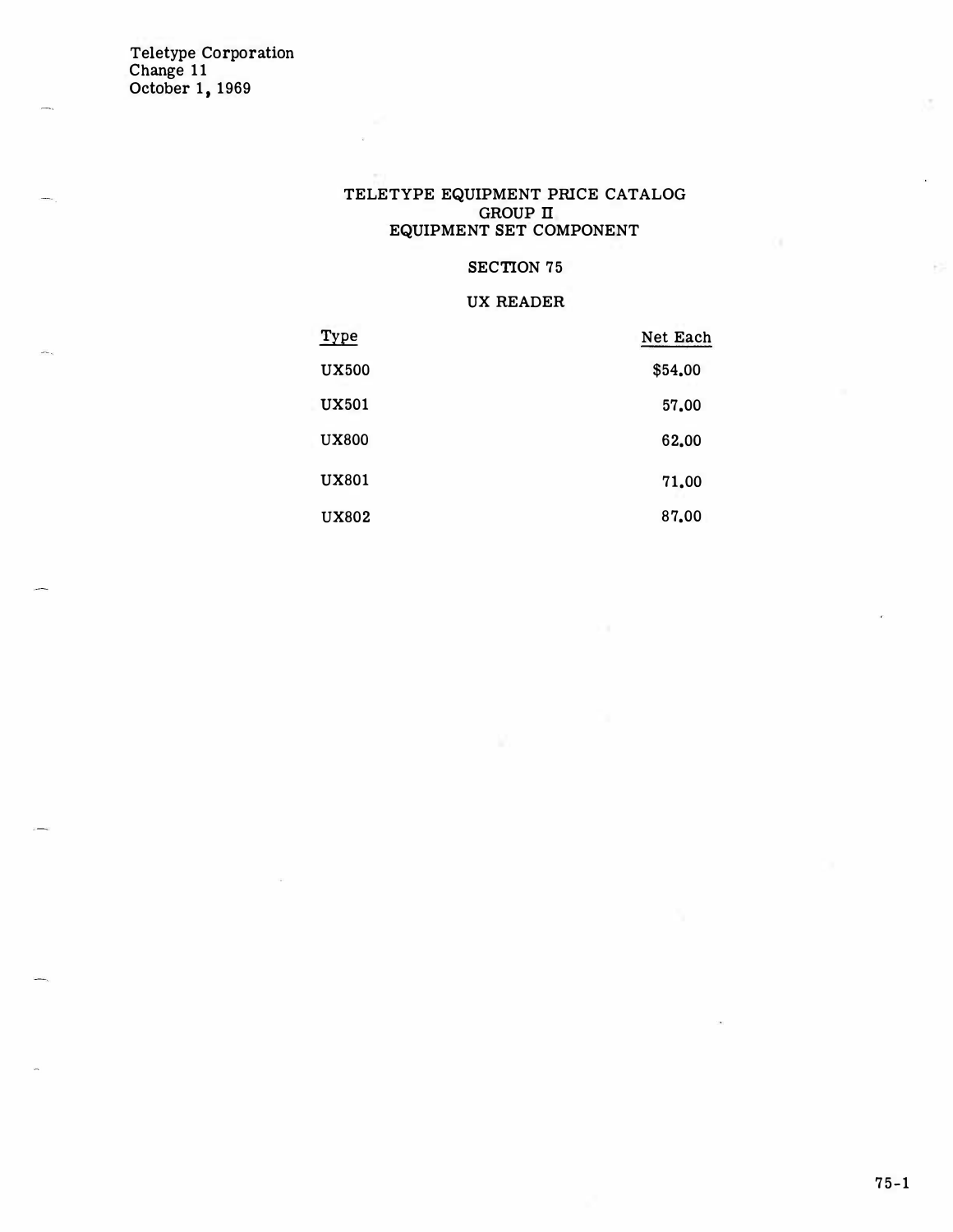#### TELETYPE EQUIPMENT PRICE CATALOG GROUP II EQUIPMENT SET COMPONENT

## SECTION 75

### UX READER

| Type         | Net Each |
|--------------|----------|
| <b>UX500</b> | \$54.00  |
| <b>UX501</b> | 57,00    |
| <b>UX800</b> | 62.00    |
| <b>UX801</b> | 71,00    |
| <b>UX802</b> | 87.00    |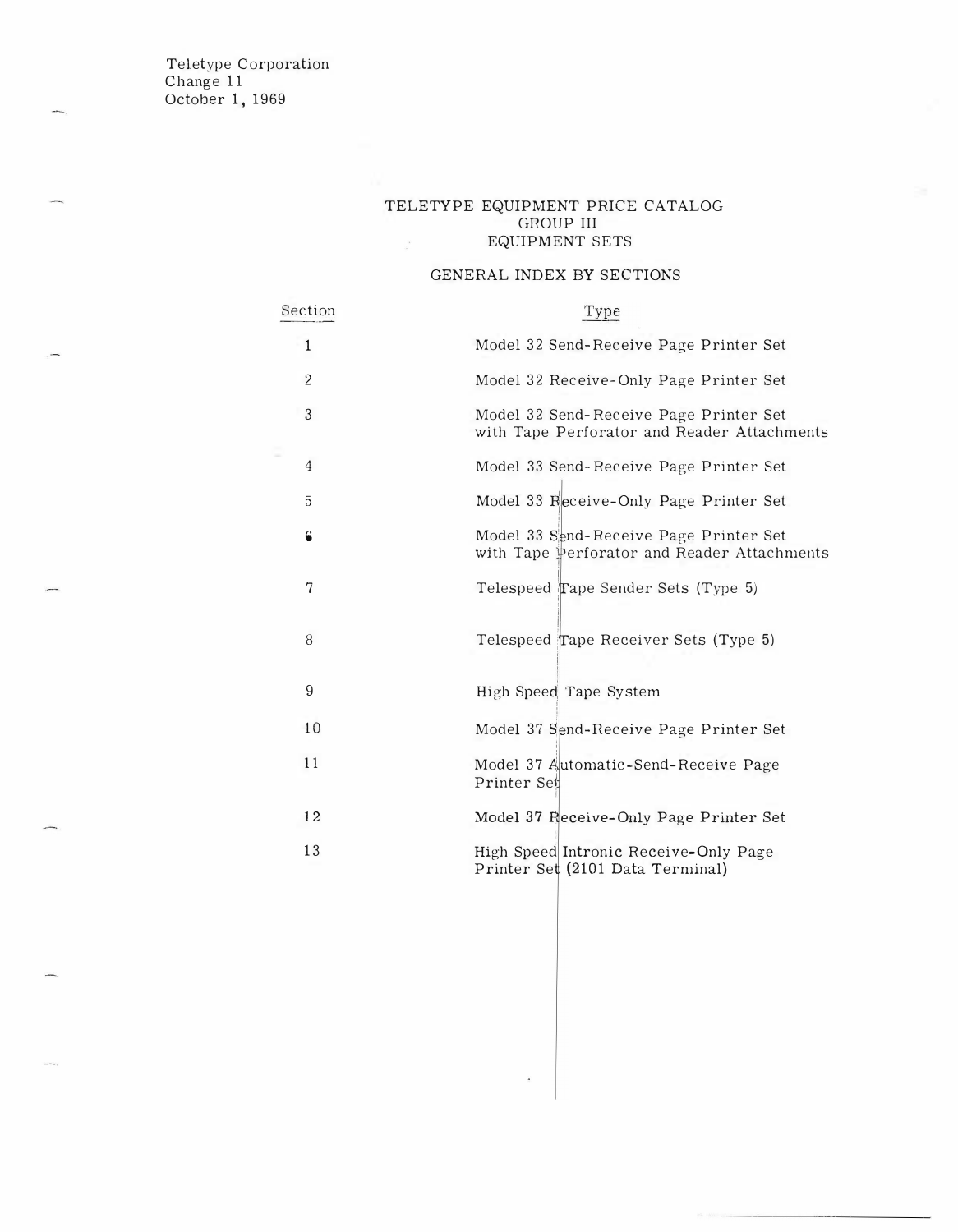#### TELETYPE EQUIPMENT PRICE CATALOG GROUP III EQUIPMENT SETS

### GENERAL INDEX BY SECTIONS

| Section        | Type                                                                                  |
|----------------|---------------------------------------------------------------------------------------|
| 1              | Model 32 Send-Receive Page Printer Set                                                |
| $\overline{2}$ | Model 32 Receive-Only Page Printer Set                                                |
| 3              | Model 32 Send-Receive Page Printer Set<br>with Tape Perforator and Reader Attachments |
| 4              | Model 33 Send-Receive Page Printer Set                                                |
| 5              | Model 33 Receive-Only Page Printer Set                                                |
| 6              | Model 33 Send-Receive Page Printer Set<br>with Tape Perforator and Reader Attachments |
| 7              | Telespeed Tape Sender Sets (Type 5)                                                   |
| 8              | Telespeed Tape Receiver Sets (Type 5)                                                 |
| 9              | High Speed Tape System                                                                |
| 10             | Model 37 Send-Receive Page Printer Set                                                |
| 11             | Model 37 Automatic-Send-Receive Page<br>Printer Set                                   |
| 12             | Model 37 Fleceive-Only Page Printer Set                                               |
| 13             | High Speed Intronic Receive-Only Page<br>Printer Set (2101 Data Terminal)             |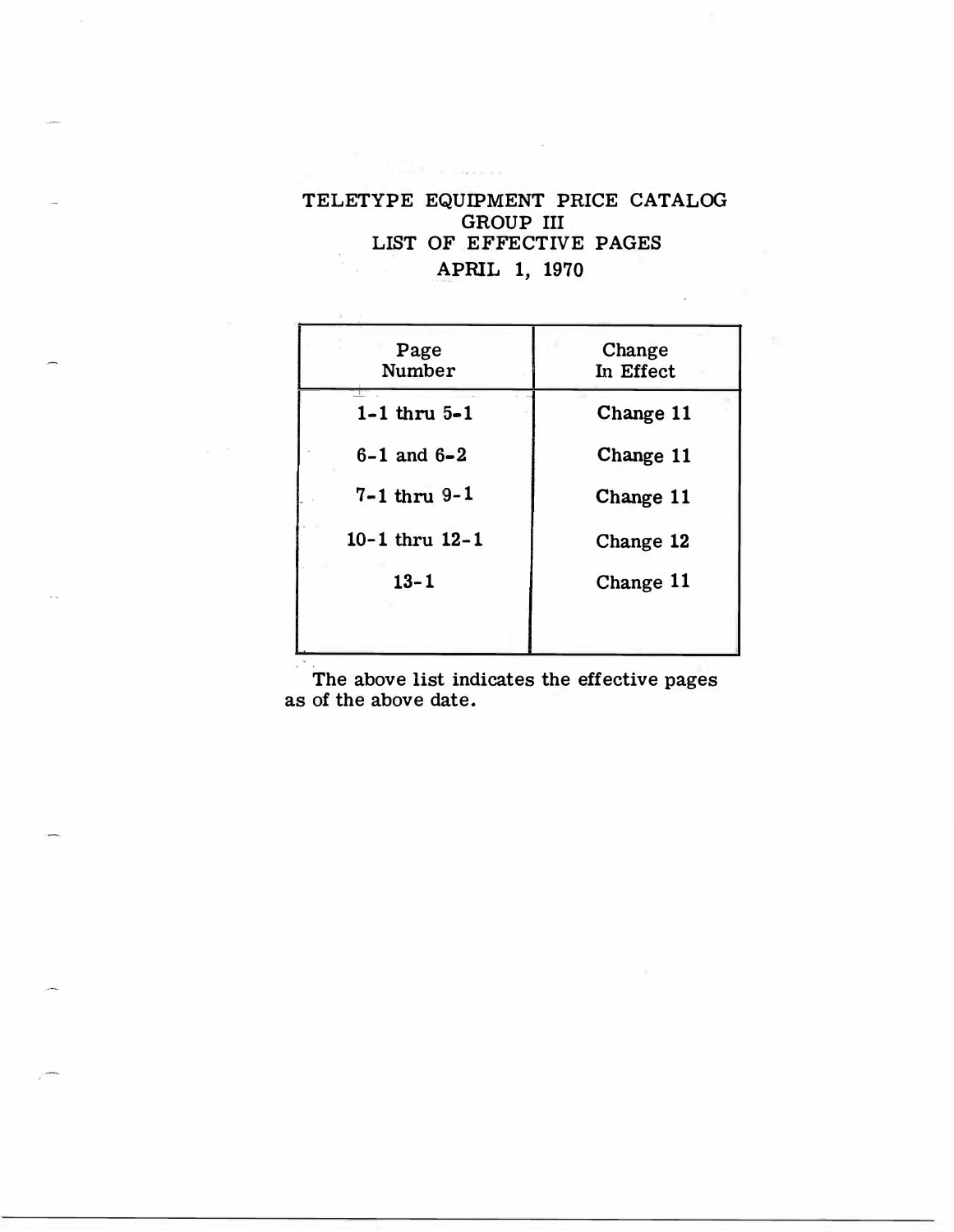# TELETYPE EQUIPMENT PRICE CATALOG GROUP III LIST OF EFFECTIVE PAGES APRIL 1, 1970

| Page<br>Number         | Change<br>In Effect |
|------------------------|---------------------|
| $1-1$ thru $5-1$       | Change 11           |
| $6 - 1$ and $6 - 2$    | Change 11           |
| $7 - 1$ thru $9 - 1$   | Change 11           |
| $10 - 1$ thru $12 - 1$ | Change 12           |
| $13 - 1$               | Change 11           |
|                        |                     |

The above list indicates the effective pages as of the above date.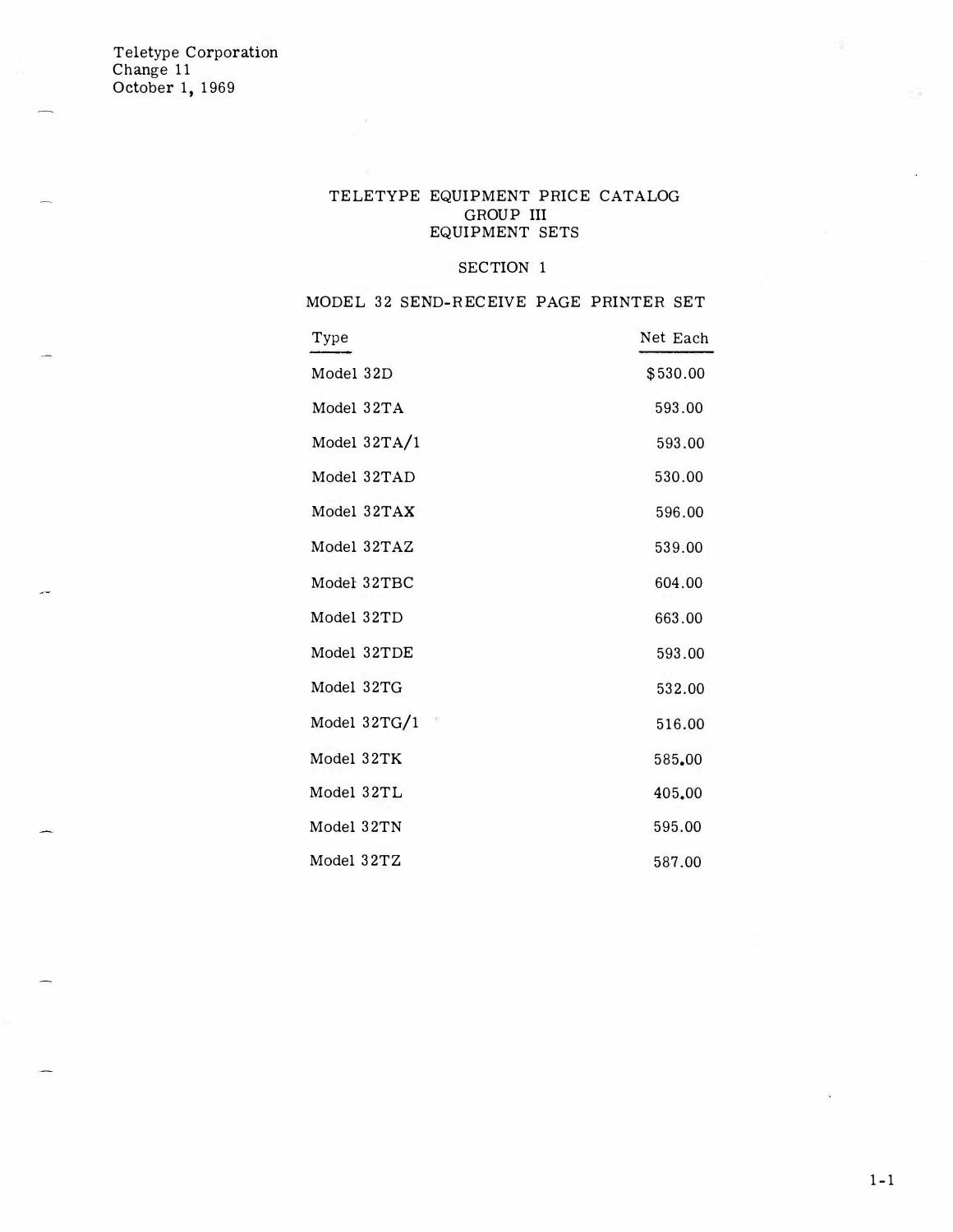### TELETYPE EQUIPMENT PRICE CATALOG GROUP III EQUIPMENT SETS

#### SECTION 1

MODEL 32 SEND-RECEIVE PAGE PRINTER SET

| Type           | Net Each |
|----------------|----------|
| Model 32D      | \$530.00 |
| Model 32TA     | 593.00   |
| Model $32TA/1$ | 593.00   |
| Model 32TAD    | 530.00   |
| Model 32TAX    | 596.00   |
| Model 32TAZ    | 539.00   |
| Model 32TBC    | 604.00   |
| Model 32TD     | 663.00   |
| Model 32TDE    | 593.00   |
| Model 32TG     | 532.00   |
| Model 32TG/1   | 516.00   |
| Model 32TK     | 585.00   |
| Model 32TL     | 405.00   |
| Model 32TN     | 595.00   |
| Model 32TZ     | 587.00   |

.<br>Se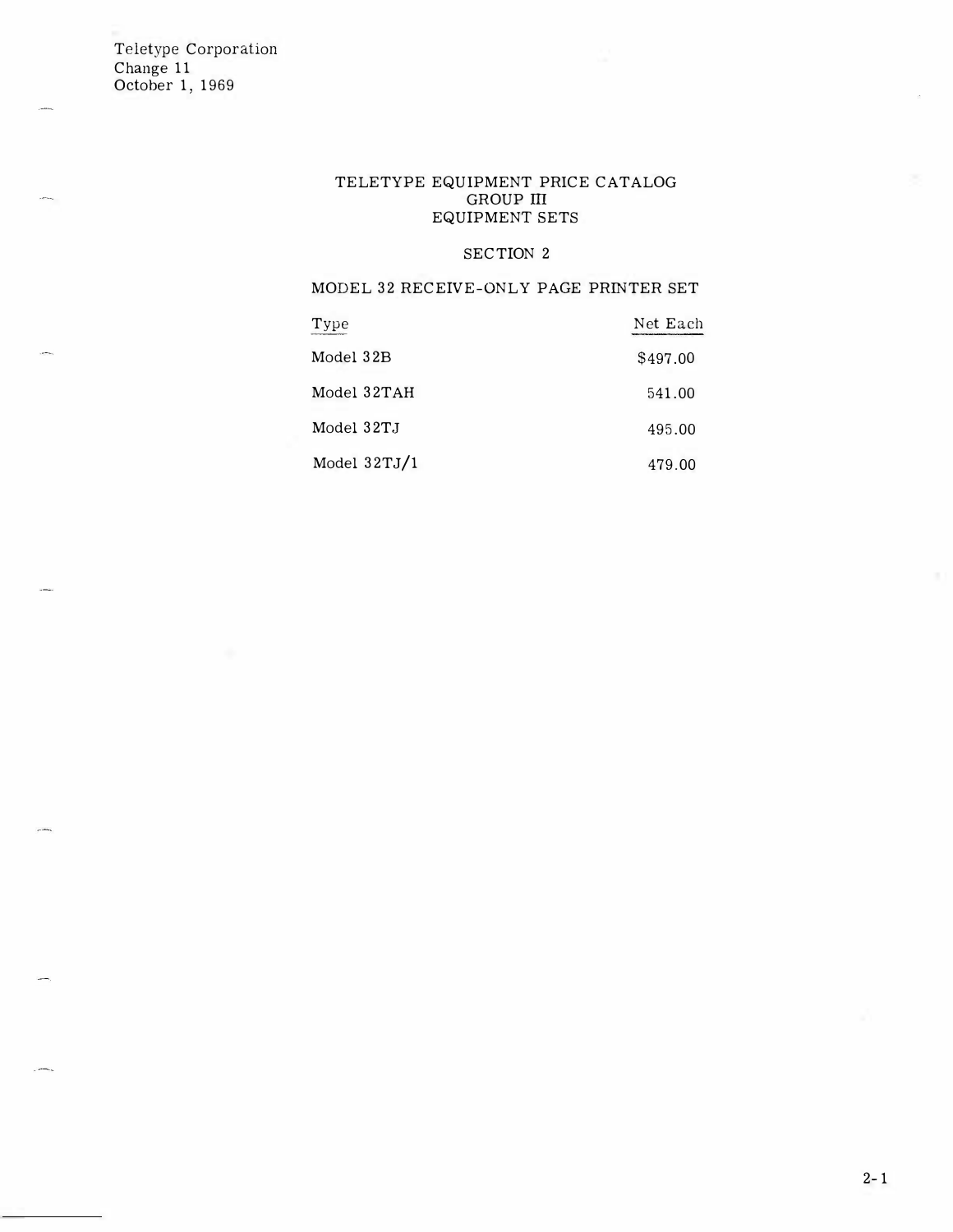### TELETYPE EQUIPMENT PRICE CATALOG GROUP III EQUIPMENT SETS

### SECTION 2

### MODEL 32 RECEIVE-ONLY PAGE PRINTER SET

| Type           | Net Each |
|----------------|----------|
| Model 32B      | \$497.00 |
| Model 32TAH    | 541.00   |
| Model 32T.J    | 495.00   |
| Model $32TJ/1$ | 479.00   |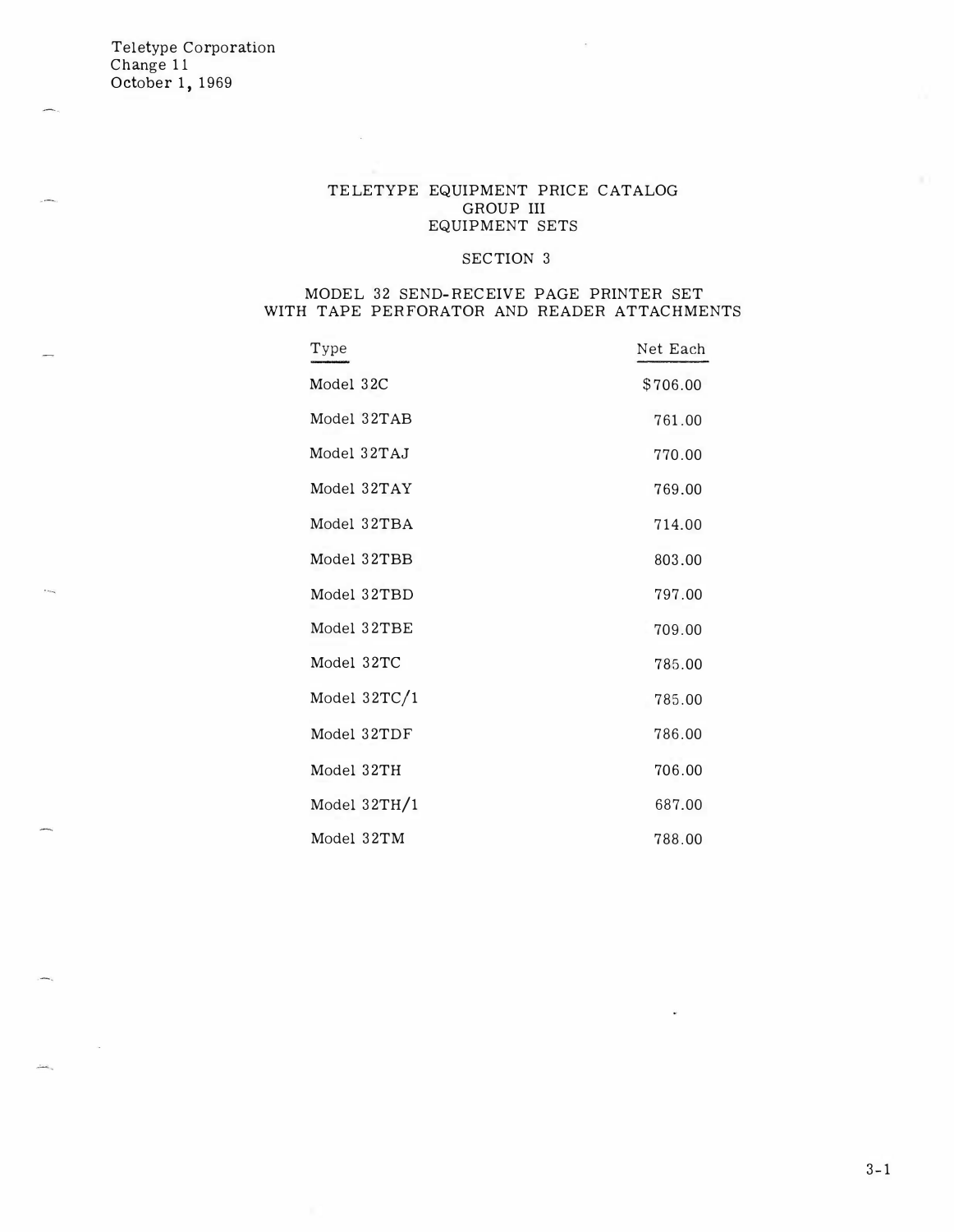### TELETYPE EQUIPMENT PRICE CATALOG GROUP III EQUIPMENT SETS

### SECTION 3

### MODEL 32 SEND-RECEIVE PAGE PRINTER SET WITH TAPE PERFORATOR AND READER ATTACHMENTS

| Type           | Net Each |
|----------------|----------|
| Model 32C      | \$706.00 |
| Model 32TAB    | 761.00   |
| Model 32TAJ    | 770.00   |
| Model 32TAY    | 769.00   |
| Model 32TBA    | 714.00   |
| Model 32TBB    | 803.00   |
| Model 32TBD    | 797.00   |
| Model 32TBE    | 709.00   |
| Model 32TC     | 785.00   |
| Model $32TC/1$ | 785.00   |
| Model 32TDF    | 786.00   |
| Model 32TH     | 706.00   |
| Model 32TH/1   | 687.00   |
| Model 32TM     | 788.00   |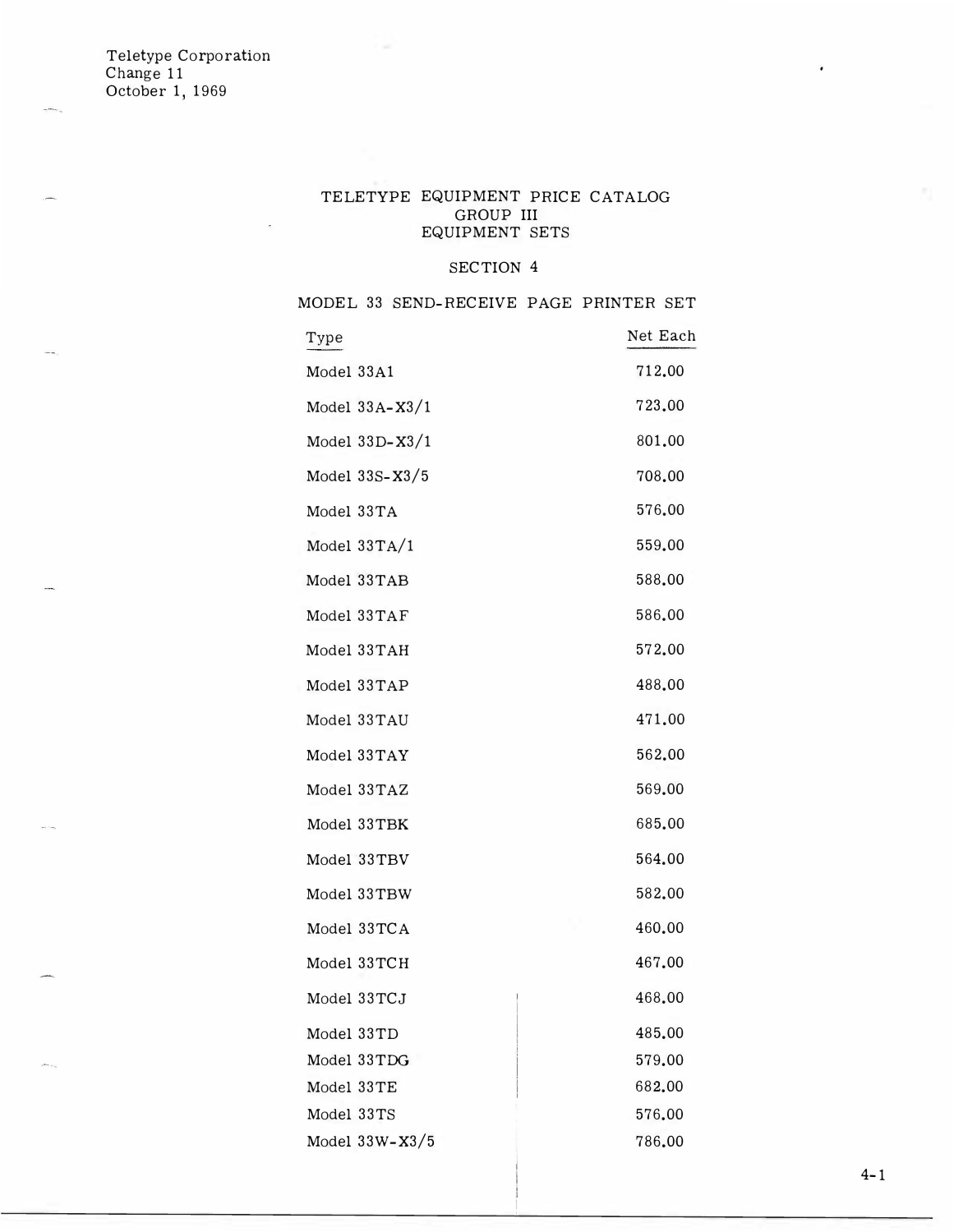### TELETYPE EQUIPMENT PRICE CATALOG GROUP III EQUIPMENT SETS

### SECTION 4

MODEL 33 SEND-RECEIVE PAGE PRINTER SET

| Type               | Net Each |
|--------------------|----------|
| Model 33A1         | 712.00   |
| Model $33A-X3/1$   | 723.00   |
| Model 33D-X3/1     | 801.00   |
| Model $33S-X3/5$   | 708.00   |
| Model 33TA         | 576.00   |
| Model $33TA/1$     | 559.00   |
| Model 33TAB        | 588.00   |
| Model 33TAF        | 586.00   |
| Model 33TAH        | 572.00   |
| Model 33TAP        | 488.00   |
| Model 33TAU        | 471.00   |
| Model 33TAY        | 562.00   |
| Model 33TAZ        | 569.00   |
| Model 33TBK        | 685.00   |
| Model 33TBV        | 564.00   |
| Model 33TBW        | 582.00   |
| Model 33TCA        | 460.00   |
| Model 33TCH        | 467.00   |
| Model 33TCJ        | 468.00   |
| Model 33TD         | 485.00   |
| Model 33TDG        | 579.00   |
| Model 33TE         | 682.00   |
| Model 33TS         | 576.00   |
| Model $33W - X3/5$ | 786.00   |
|                    |          |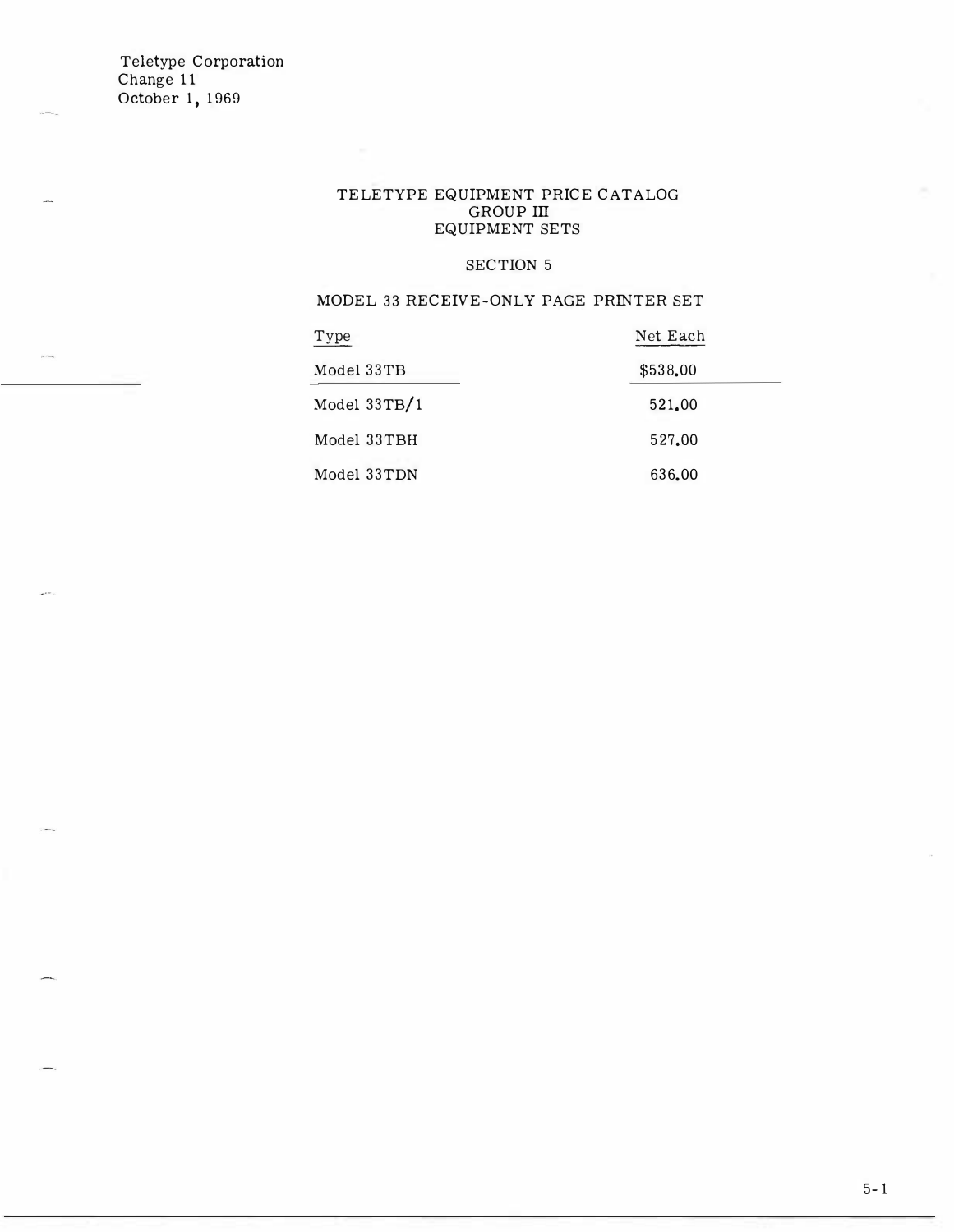$\sim$   $\sim$ 

 $\mathbf{r}$ 

### TELETYPE EQUIPMENT PRICE CATALOG GROUP III EQUIPMENT SETS

### SECTION 5

MODEL 33 RECEIVE-ONLY PAGE PRINTER SET

| Type           | Net Each |
|----------------|----------|
| Model 33TB     | \$538.00 |
| Model $33TB/1$ | 521.00   |
| Model 33TBH    | 527.00   |
| Model 33TDN    | 636.00   |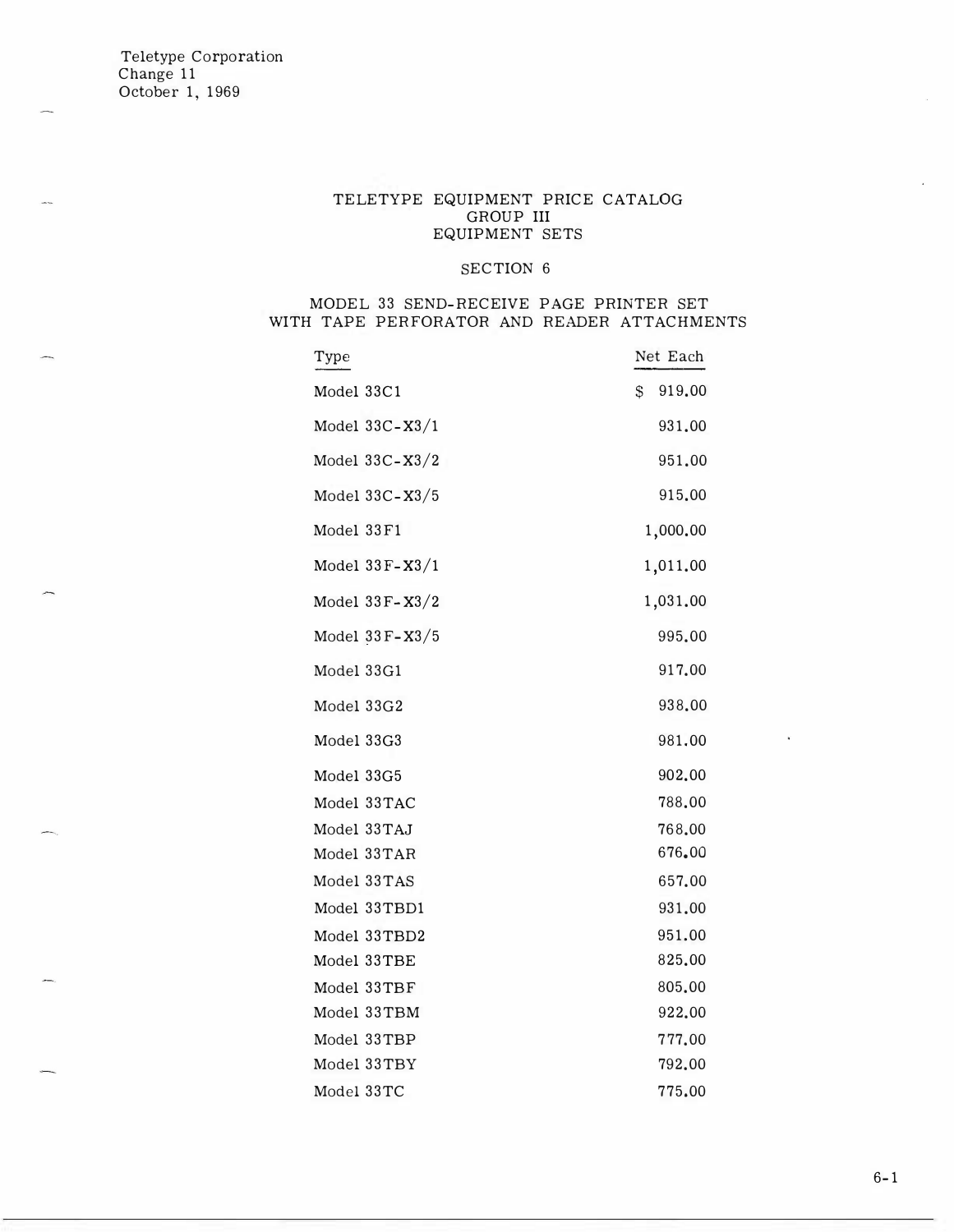#### TELETYPE EQUIPMENT PRICE CATALOG GROUP III EQUIPMENT SETS

#### SECTION 6

### MODEL 33 SEND-RECEIVE PAGE PRINTER SET WITH TAPE PERFORATOR AND READER ATTACHMENTS

| Type               | Net Each     |
|--------------------|--------------|
| Model 33C1         | \$<br>919.00 |
| Model $33C - X3/1$ | 931.00       |
| Model $33C - X3/2$ | 951.00       |
| Model $33C - X3/5$ | 915.00       |
| Model 33F1         | 1,000.00     |
| Model $33F-X3/1$   | 1,011.00     |
| Model $33F-X3/2$   | 1,031.00     |
| Model 33F-X3/5     | 995.00       |
| Model 33G1         | 917.00       |
| Model 33G2         | 938.00       |
| Model 33G3         | 981.00       |
| Model 33G5         | 902.00       |
| Model 33TAC        | 788.00       |
| Model 33TAJ        | 768,00       |
| Model 33TAR        | 676.00       |
| Model 33TAS        | 657.00       |
| Model 33TBD1       | 931.00       |
| Model 33TBD2       | 951.00       |
| Model 33TBE        | 825.00       |
| Model 33TBF        | 805.00       |
| Model 33TBM        | 922.00       |
| Model 33TBP        | 777.00       |
| Model 33TBY        | 792.00       |
| Model 33TC         | 775.00       |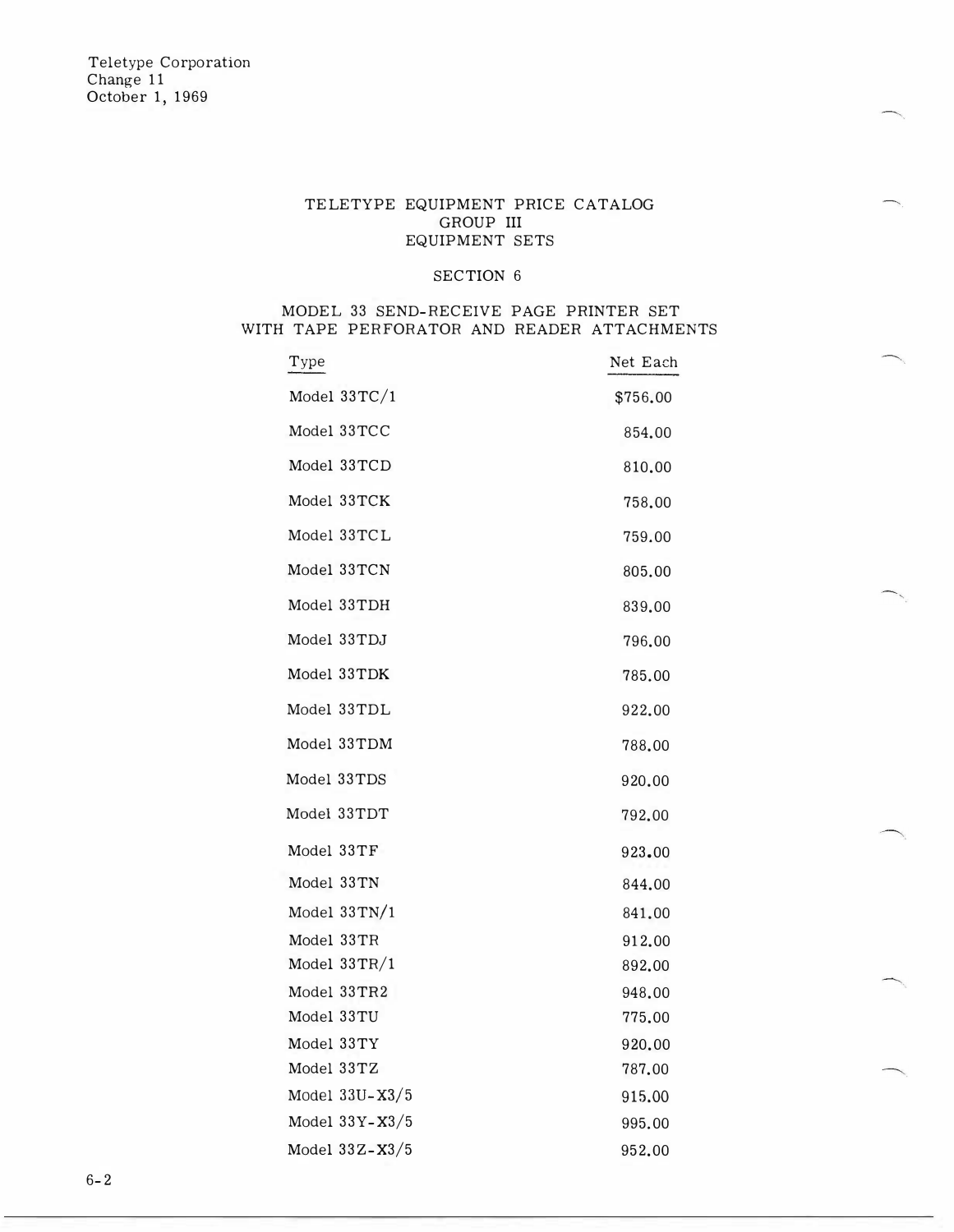### TELETYPE EQUIPMENT PRICE CATALOG GROUP III EQUIPMENT SETS

#### SECTION 6

### MODEL 33 SEND-RECEIVE PAGE PRINTER SET WITH TAPE PERFORATOR AND READER ATTACHMENTS

| Type               | Net Each |
|--------------------|----------|
| Model $33TC/1$     | \$756.00 |
| Model 33TCC        | 854.00   |
| Model 33TCD        | 810.00   |
| Model 33TCK        | 758.00   |
| Model 33TCL        | 759.00   |
| Model 33TCN        | 805.00   |
| Model 33TDH        | 839.00   |
| Model 33TDJ        | 796.00   |
| Model 33TDK        | 785.00   |
| Model 33TDL        | 922.00   |
| Model 33TDM        | 788.00   |
| Model 33TDS        | 920.00   |
| Model 33TDT        | 792.00   |
| Model 33TF         | 923.00   |
| Model 33TN         | 844.00   |
| Model $33TN/1$     | 841,00   |
| Model 33TR         | 912.00   |
| Model $33TR/1$     | 892.00   |
| Model 33TR2        | 948.00   |
| Model 33TU         | 775.00   |
| Model 33TY         | 920.00   |
| Model 33TZ         | 787.00   |
| Model $33U - X3/5$ | 915.00   |
| Model $33Y-X3/5$   | 995.00   |
| Model $33Z-X3/5$   | 952.00   |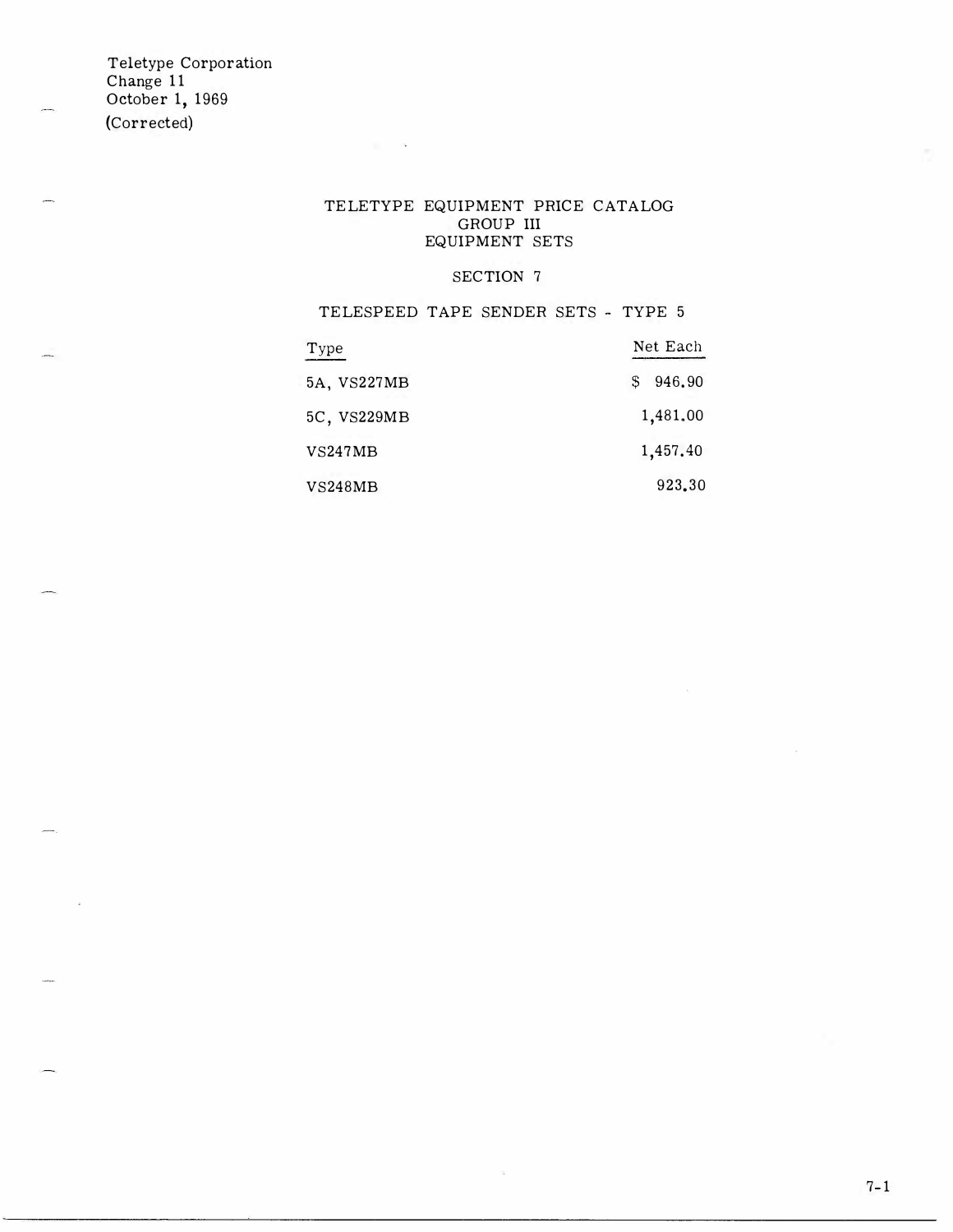Teletype Corporation Change 11 October 1, 1969 (Corrected)

### TELETYPE EQUIPMENT PRICE CATALOG GROUP III EQUIPMENT SETS

 $\sim 10$ 

### SECTION 7

TELESPEED TAPE SENDER SETS - TYPE 5

| Type           | Net Each    |
|----------------|-------------|
| 5A, VS227MB    | 946.90<br>S |
| 5C, VS229MB    | 1,481.00    |
| VS247MB        | 1,457.40    |
| <b>VS248MB</b> | 923.30      |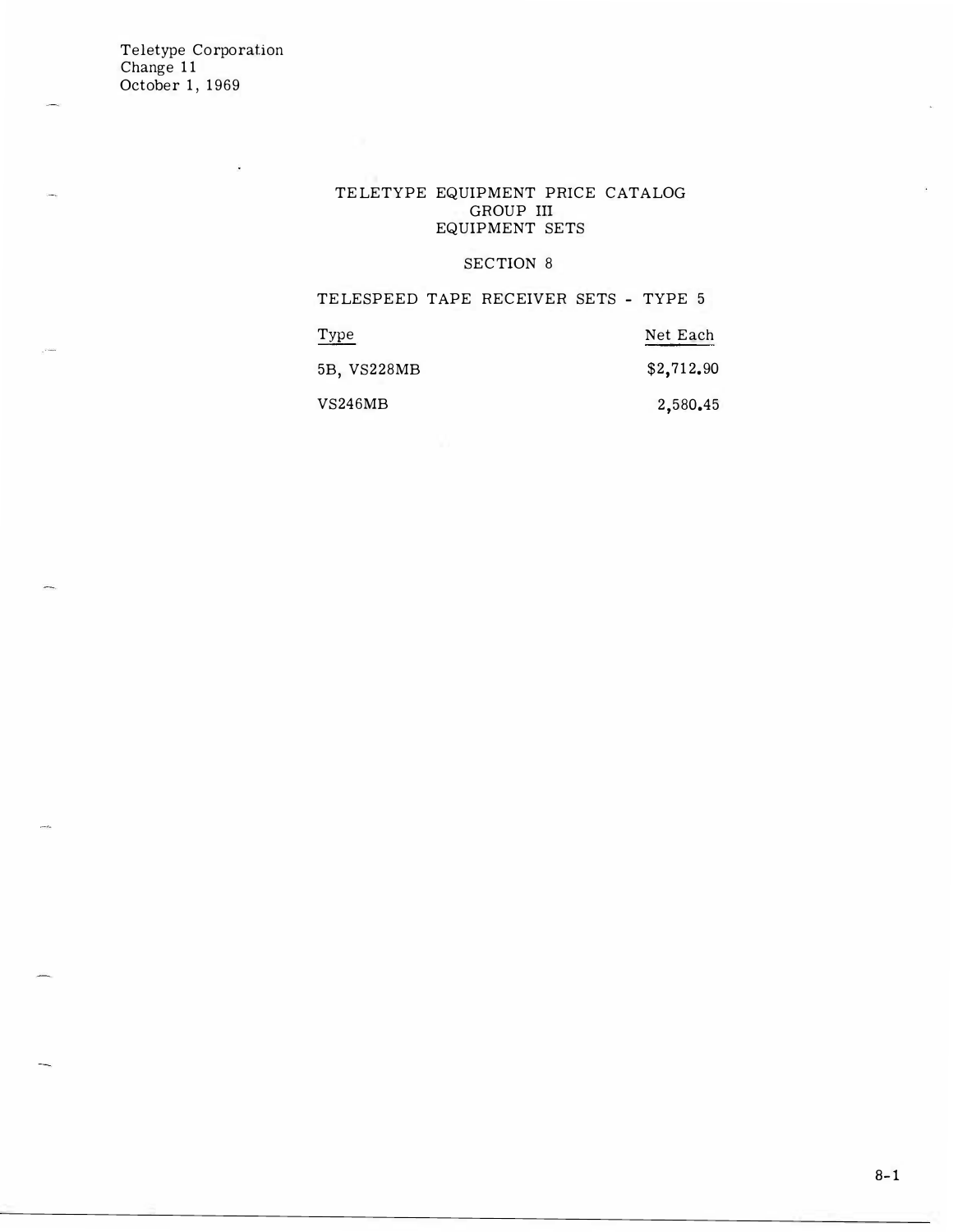#### TELETYPE EQUIPMENT PRICE CATALOG GROUP III EQUIPMENT SETS

### SECTION 8

TELESPEED TAPE RECEIVER SETS - TYPE 5

| Type        | Net Each   |
|-------------|------------|
| 5B, VS228MB | \$2,712.90 |
| VS246MB     | 2,580.45   |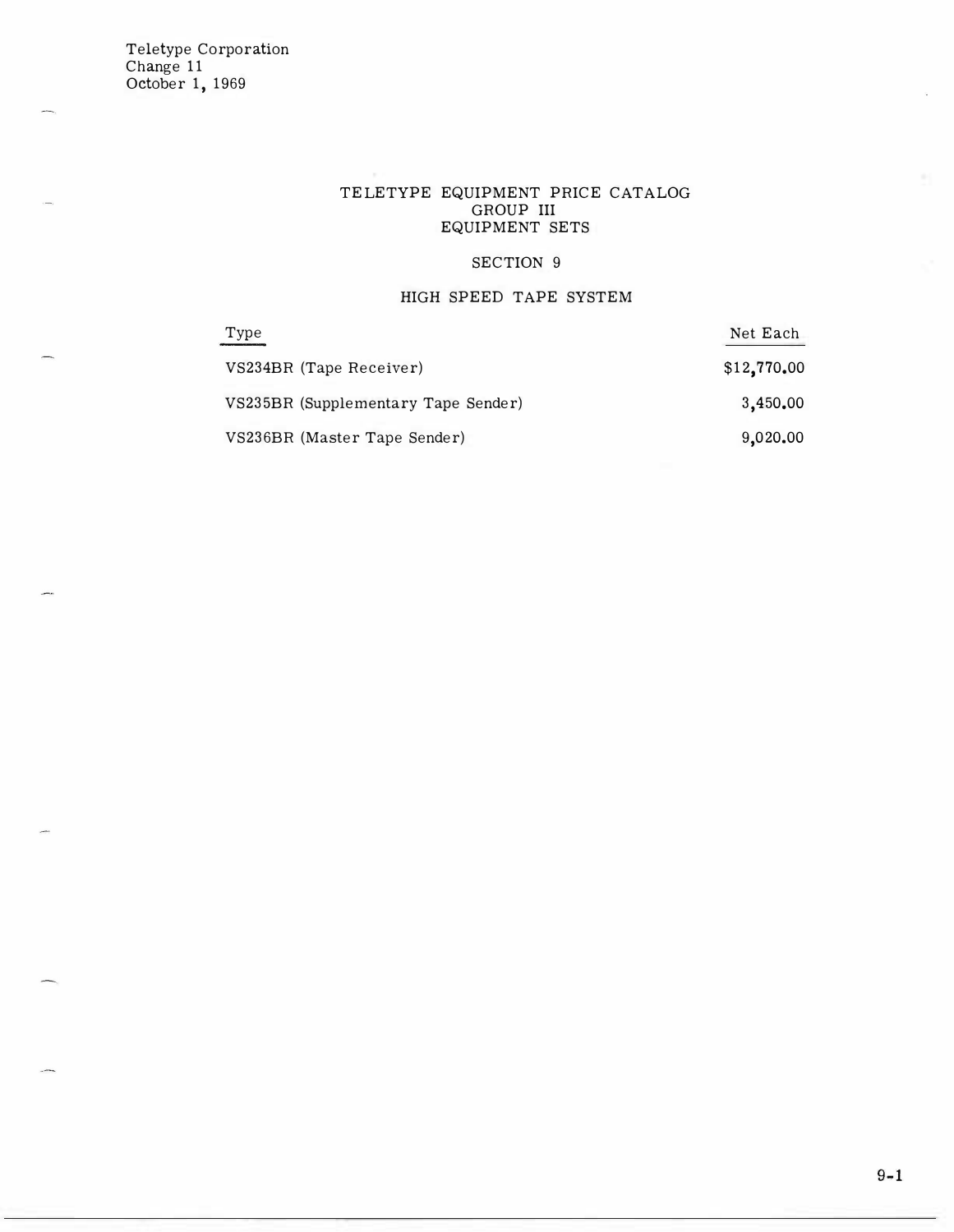### TELETYPE EQUIPMENT PRICE CATALOG GROUP III EQUIPMENT SETS

### SECTION 9

### HIGH SPEED TAPE SYSTEM

| Type                                | Net Each    |
|-------------------------------------|-------------|
| VS234BR (Tape Receiver)             | \$12,770.00 |
| VS235BR (Supplementary Tape Sender) | 3,450.00    |
| VS236BR (Master Tape Sender)        | 9,020.00    |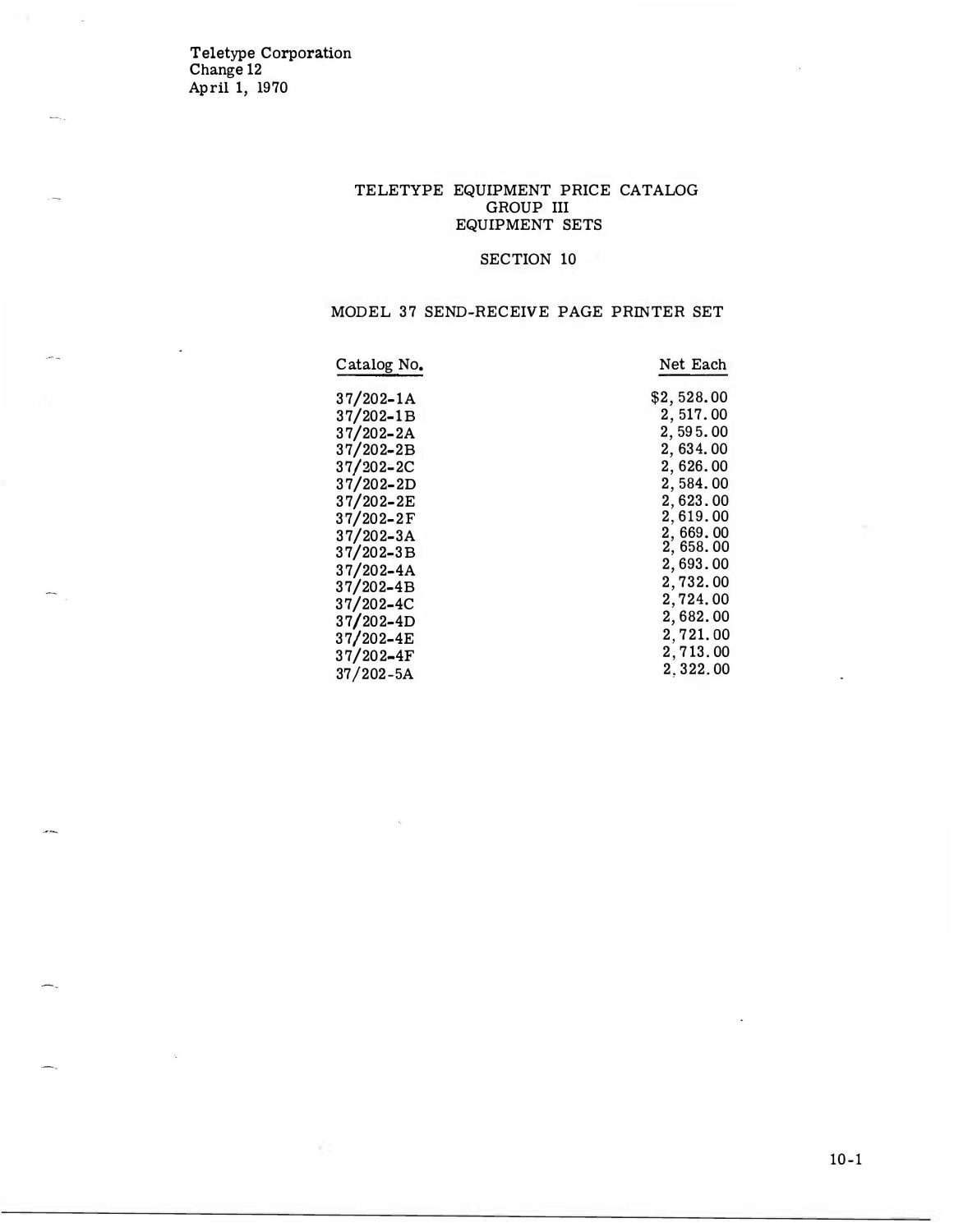Teletype Corporation Change 12 April 1, 1970

#### TELETYPE EQUIPMENT PRICE CATALOG GROUP III EQUIPMENT SETS

### SECTION 10

### MODEL 37 SEND-RECEIVE PAGE PRINTER SET

| Catalog No.   | Net Each   |
|---------------|------------|
| $37/202 - 1A$ | \$2,528.00 |
| $37/202 - 1B$ | 2,517.00   |
| $37/202 - 2A$ | 2,595.00   |
| $37/202 - 2B$ | 2,634.00   |
| $37/202 - 2C$ | 2,626.00   |
| $37/202 - 2D$ | 2,584.00   |
| $37/202 - 2E$ | 2,623.00   |
| $37/202 - 2F$ | 2.619.00   |
| $37/202 - 3A$ | 2,669.00   |
| $37/202 - 3B$ | 2,658.00   |
| $37/202 - 4A$ | 2,693.00   |
| $37/202 - 4B$ | 2,732.00   |
| $37/202 - 4C$ | 2,724.00   |
| $37/202 - 4D$ | 2,682.00   |
| $37/202 - 4E$ | 2,721.00   |
| $37/202 - 4F$ | 2,713.00   |
| $37/202 - 5A$ | 2.322.00   |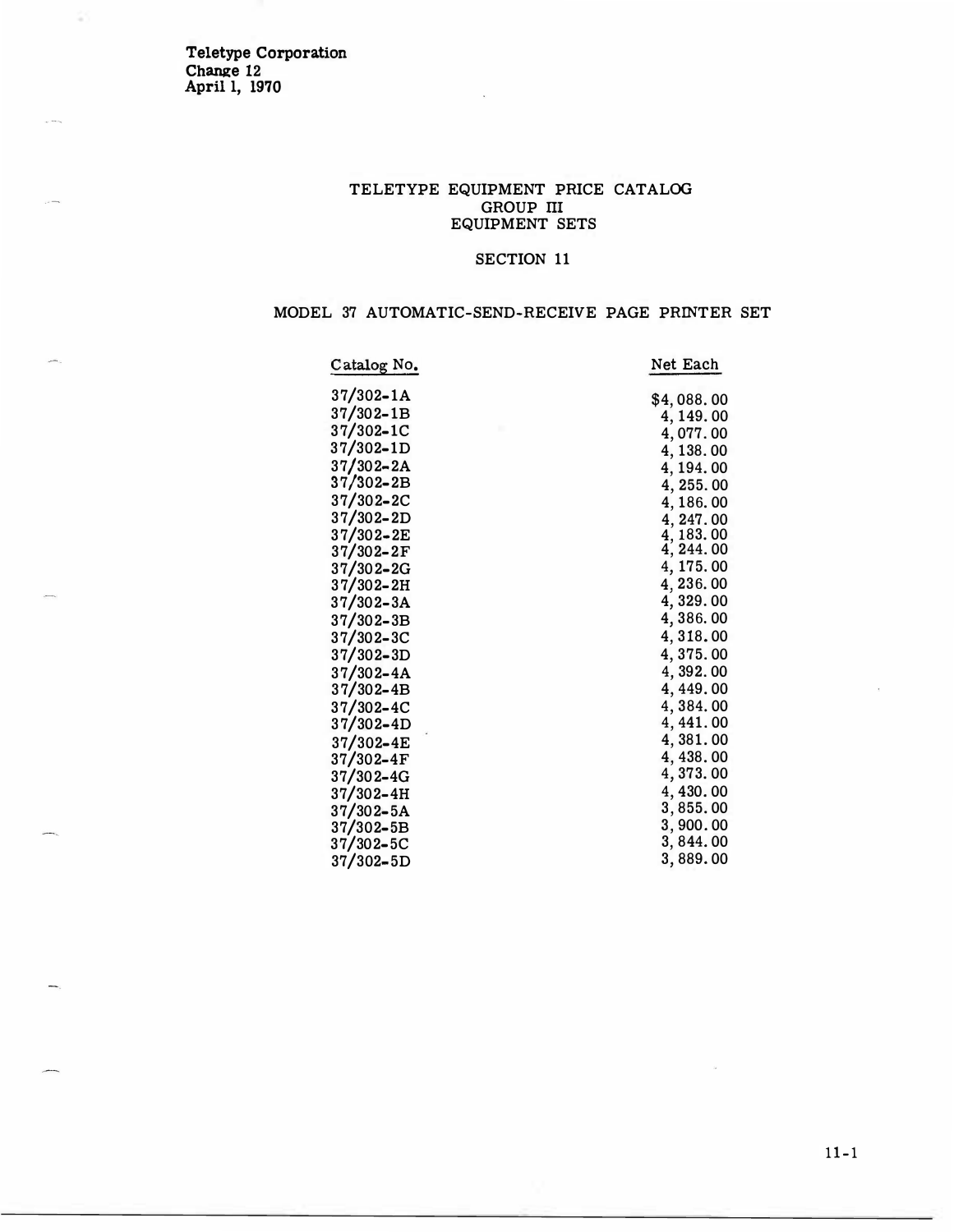Teletype Corporation Change 12 April 1, 1970

 $\bar{\omega}$ 

### TELETYPE EQUIPMENT PRICE CATALOG GROUP III EQUIPMENT SETS

### SECTION 11

## MODEL 37 AUTOMATIC-SEND-RECEIVE PAGE PRINTER SET

| Net Each   |
|------------|
| \$4,088.00 |
| 4, 149.00  |
| 4,077.00   |
| 4, 138.00  |
| 4, 194.00  |
| 4, 255.00  |
| 4,186.00   |
| 4, 247.00  |
| 4, 183.00  |
| 4, 244.00  |
| 4, 175.00  |
| 4, 236.00  |
| 4, 329.00  |
| 4,386.00   |
| 4,318.00   |
| 4,375.00   |
| 4,392.00   |
| 4, 449.00  |
| 4,384.00   |
| 4, 441.00  |
| 4,381.00   |
| 4, 438.00  |
| 4,373.00   |
| 4,430.00   |
| 3,855.00   |
| 3,900.00   |
| 3, 844.00  |
| 3,889.00   |
|            |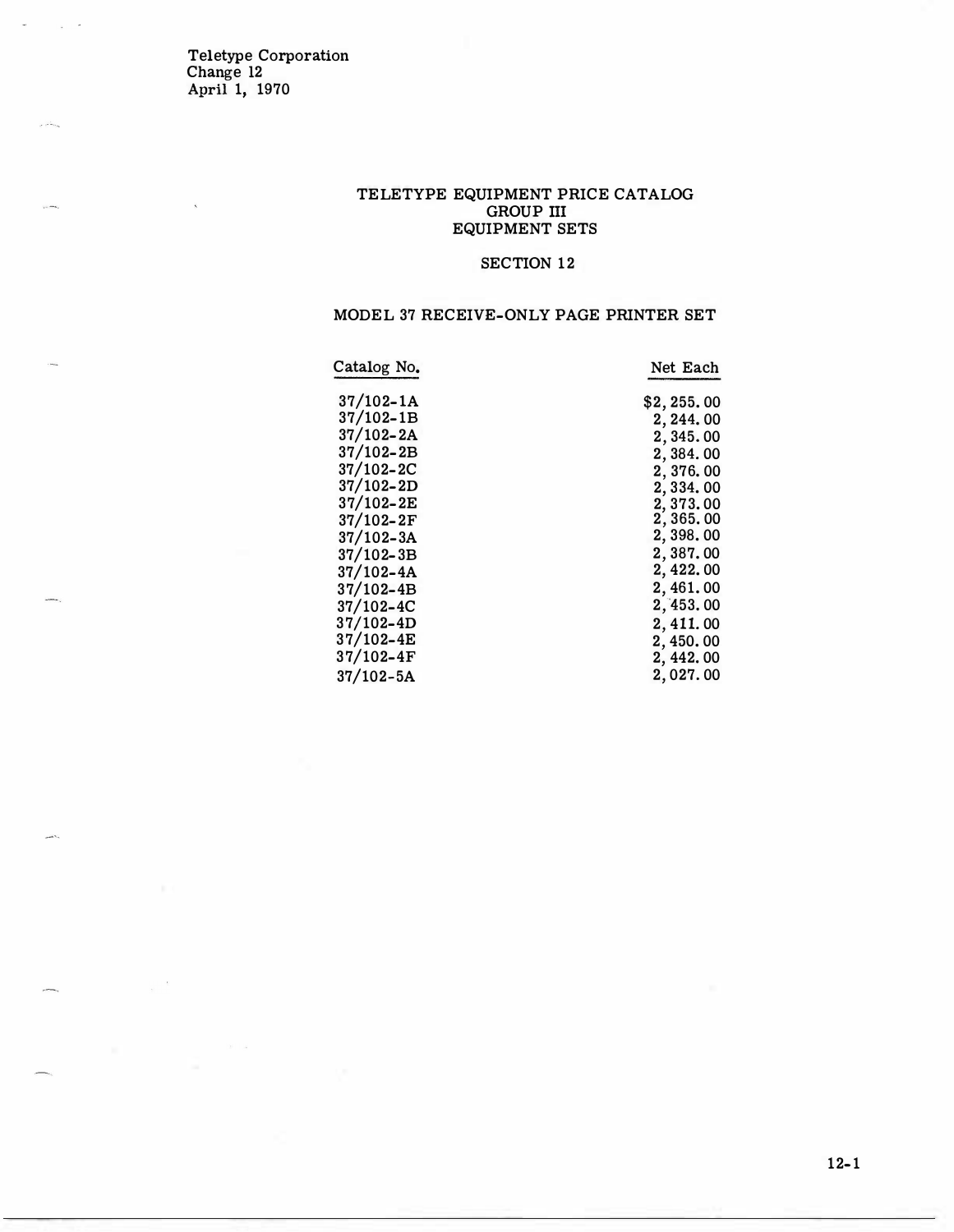Teletype Corporation Change 12 April 1, 1970

 $\bar{\pi}$  .

ر<br>موس<sup>ق</sup>ام او

.<br>Servi

#### TELETYPE EQUIPMENT PRICE CATALOG GROUP III EQUIPMENT SETS

### SECTION 12

#### MODEL 37 RECEIVE-ONLY PAGE PRINTER SET

| Catalog No.   | Net Each   |
|---------------|------------|
| $37/102 - 1A$ | \$2,255.00 |
| $37/102 - 1B$ | 2, 244.00  |
| $37/102 - 2A$ | 2, 345, 00 |
| 37/102-2B     | 2,384.00   |
| 37/102-2C     | 2,376.00   |
| $37/102 - 2D$ | 2,334.00   |
| $37/102 - 2E$ | 2,373.00   |
| $37/102 - 2F$ | 2,365.00   |
| $37/102 - 3A$ | 2,398.00   |
| $37/102 - 3B$ | 2,387.00   |
| $37/102 - 4A$ | 2, 422.00  |
| $37/102 - 4B$ | 2,461.00   |
| $37/102 - 4C$ | 2,453.00   |
| $37/102 - 4D$ | 2, 411.00  |
| $37/102 - 4E$ | 2,450.00   |
| 37/102-4F     | 2, 442, 00 |
| $37/102 - 5A$ | 2,027.00   |